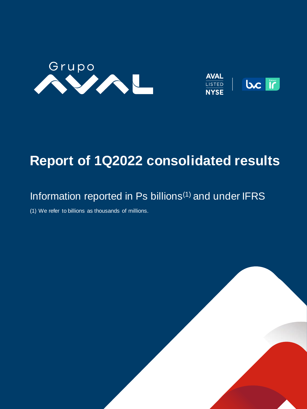



# **Report of 1Q2022 consolidated results**

# Information reported in Ps billions<sup>(1)</sup> and under IFRS

**Haga clic para modificar el estilo de**  (1) We refer to billions as thousands of millions.

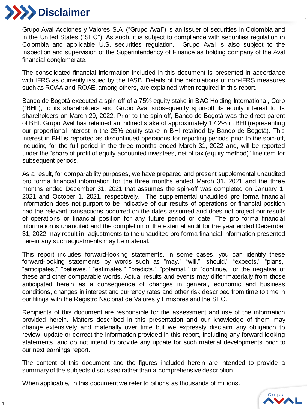

Grupo Aval Acciones y Valores S.A. ("Grupo Aval") is an issuer of securities in Colombia and in the United States ("SEC"). As such, it is subject to compliance with securities regulation in Colombia and applicable U.S. securities regulation. Grupo Aval is also subject to the inspection and supervision of the Superintendency of Finance as holding company of the Aval financial conglomerate.

The consolidated financial information included in this document is presented in accordance with IFRS as currently issued by the IASB. Details of the calculations of non-IFRS measures such as ROAA and ROAE, among others, are explained when required in this report.

Banco de Bogotá executed a spin-off of a 75% equity stake in BAC Holding International, Corp ("BHI"); to its shareholders and Grupo Aval subsequently spun-off its equity interest to its shareholders on March 29, 2022. Prior to the spin-off, Banco de Bogotá was the direct parent of BHI. Grupo Aval has retained an indirect stake of approximately 17.2% in BHI (representing our proportional interest in the 25% equity stake in BHI retained by Banco de Bogotá). This interest in BHI is reported as discontinued operations for reporting periods prior to the spin-off, including for the full period in the three months ended March 31, 2022 and, will be reported under the "share of profit of equity accounted investees, net of tax (equity method)" line item for subsequent periods.

As a result, for comparability purposes, we have prepared and present supplemental unaudited pro forma financial information for the three months ended March 31, 2021 and the three months ended December 31, 2021 that assumes the spin-off was completed on January 1, 2021 and October 1, 2021, respectively. The supplemental unaudited pro forma financial information does not purport to be indicative of our results of operations or financial position had the relevant transactions occurred on the dates assumed and does not project our results of operations or financial position for any future period or date. The pro forma financial information is unaudited and the completion of the external audit for the year ended December 31, 2022 may result in adjustments to the unaudited pro forma financial information presented herein any such adjustments may be material.

This report includes forward-looking statements. In some cases, you can identify these forward-looking statements by words such as "may," "will," "should," "expects," "plans," "anticipates," "believes," "estimates," "predicts," "potential," or "continue," or the negative of these and other comparable words. Actual results and events may differ materially from those anticipated herein as a consequence of changes in general, economic and business conditions, changes in interest and currency rates and other risk described from time to time in our filings with the Registro Nacional de Valores y Emisores and the SEC.

Recipients of this document are responsible for the assessment and use of the information provided herein. Matters described in this presentation and our knowledge of them may change extensively and materially over time but we expressly disclaim any obligation to review, update or correct the information provided in this report, including any forward looking statements, and do not intend to provide any update for such material developments prior to our next earnings report.

The content of this document and the figures included herein are intended to provide a summary of the subjects discussed rather than a comprehensive description.

When applicable, in this document we refer to billions as thousands of millions.

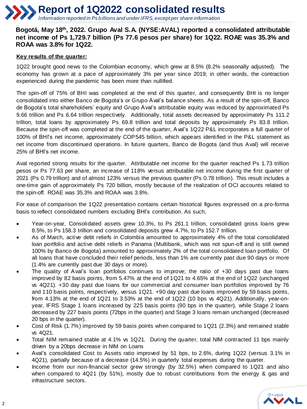#### **Bogotá, May 18th, 2022. Grupo Aval S.A. (NYSE:AVAL) reported a consolidated attributable net income of Ps 1,729.7 billion (Ps 77.6 pesos per share) for 1Q22. ROAE was 35.3% and ROAA was 3.8% for 1Q22.**

#### **Key results of the quarter:**

1Q22 brought good news to the Colombian economy, which grew at 8.5% (8.2% seasonally adjusted). The economy has grown at a pace of approximately 3% per year since 2019; in other words, the contraction experienced during the pandemic has been more than nullified.

The spin-off of 75% of BHI was completed at the end of this quarter, and consequently BHI is no longer consolidated into either Banco de Bogota's or Grupo Aval's balance sheets. As a result of the spin-off, Banco de Bogota's total shareholders' equity and Grupo Aval's attributable equity was reduced by approximated Ps 9.66 trillion and Ps 6.64 trillion respectively. Additionally, total assets decreased by approximately Ps 111.2 trillion, total loans by approximately Ps 69.8 trillion and total deposits by approximately Ps 83.8 trillion. Because the spin-off was completed at the end of the quarter, Aval's 1Q22 P&L incorporates a full quarter of 100% of BHI's net income, approximately COP545 billion, which appears identified in the P&L statement as net income from discontinued operations. In future quarters, Banco de Bogota (and thus Aval) will receive 25% of BHI's net income.

Aval reported strong results for the quarter. Attributable net income for the quarter reached Ps 1.73 trillion pesos or Ps 77.63 per share, an increase of 118% versus attributable net income during the first quarter of 2021 (Ps 0.79 trillion) and of almost 123% versus the previous quarter (Ps 0.78 trillion). This result includes a one-time gain of approximately Ps 720 billion, mostly because of the realization of OCI accounts related to the spin-off. ROAE was 35.3% and ROAA was 3.8%.

For ease of comparison the 1Q22 presentation contains certain historical figures expressed on a pro-forma basis to reflect consolidated numbers excluding BHI's contribution. As such,

- Year-on-year, Consolidated assets grew 10.3%, to Ps 261.1 trillion, consolidated gross loans grew 8.5%, to Ps 158.3 trillion and consolidated deposits grew 4.7%, to Ps 152.7 trillion.
- As of March, active debt reliefs in Colombia amounted to approximately 4% of the total consolidated loan portfolio and active debt reliefs in Panama (Multibank, which was not spun-off and is still owned 100% by Banco de Bogota) amounted to approximately 2% of the total consolidated loan portfolio. Of all loans that have concluded their relief periods, less than 1% are currently past due 90 days or more (1.4% are currently past due 30 days or more).
- The quality of Aval's loan portfolios continues to improve; the ratio of +30 days past due loans improved by 82 basis points, from 5.47% at the end of 1Q21 to 4.65% at the end of 1Q22 (unchanged vs 4Q21). +30 day past due loans for our commercial and consumer loan portfolios improved by 76 and 110 basis points, respectively, versus 1Q21. +90 day past due loans improved by 59 basis points, from 4.13% at the end of 1Q21 to 3.53% at the end of 1Q22 (10 bps vs 4Q21). Additionally, year-onyear, IFRS Stage 1 loans increased by 225 basis points (90 bps in the quarter), while Stage 2 loans decreased by 227 basis points (72bps in the quarter) and Stage 3 loans remain unchanged (decreased 20 bps in the quarter).
- Cost of Risk (1.7%) improved by 59 basis points when compared to 1Q21 (2.3%) and remained stable vs 4Q21.
- Total NIM remained stable at 4.1% vs 1Q21. During the quarter, total NIM contracted 11 bps mainly driven by a 20bps decrease in NIM on Loans
- Aval's consolidated Cost to Assets ratio improved by 51 bps, to 2.6%, during 1Q22 (versus 3.1% in 4Q21), partially because of a decrease (14.5%) in quarterly total expenses during the quarter.
- Income from our non-financial sector grew strongly (by 32.5%) when compared to 1Q21 and also when compared to 4Q21 (by 51%), mostly due to robust contributions from the energy & gas and infrastructure sectors.

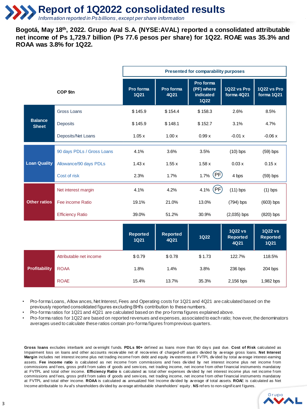**Bogotá, May 18th, 2022. Grupo Aval S.A. (NYSE:AVAL) reported a consolidated attributable net income of Ps 1,729.7 billion (Ps 77.6 pesos per share) for 1Q22. ROAE was 35.3% and ROAA was 3.8% for 1Q22.**

|                                |                            | Presented for comparability purposes |                         |                                                     |                                           |                                                  |  |  |
|--------------------------------|----------------------------|--------------------------------------|-------------------------|-----------------------------------------------------|-------------------------------------------|--------------------------------------------------|--|--|
|                                | <b>COP \$tn</b>            | Pro forma<br><b>1Q21</b>             | Pro forma<br>4Q21       | Pro forma<br>(PF) where<br>indicated<br><b>1Q22</b> | <b>1Q22 vs Pro</b><br>forma 4Q21          | 1Q22 vs Pro<br>forma 1Q21                        |  |  |
|                                | <b>Gross Loans</b>         | \$145.9                              | \$154.4                 | \$158.3                                             | 2.6%                                      | 8.5%                                             |  |  |
| <b>Balance</b><br><b>Sheet</b> | <b>Deposits</b>            | \$145.9                              | \$148.1                 | \$152.7                                             | 3.1%                                      | 4.7%                                             |  |  |
|                                | Deposits/Net Loans         | 1.05x                                | 1.00x                   | 0.99x                                               | $-0.01 x$                                 | $-0.06x$                                         |  |  |
|                                | 90 days PDLs / Gross Loans | 4.1%                                 | 3.6%                    | 3.5%                                                | $(10)$ bps                                | $(59)$ bps                                       |  |  |
| <b>Loan Quality</b>            | Allowance/90 days PDLs     | 1.43x                                | 1.55x                   | 1.58x                                               | 0.03x                                     | 0.15x                                            |  |  |
|                                | Cost of risk               | 2.3%                                 | 1.7%                    | (PF)<br>1.7%                                        | 4 bps                                     | $(59)$ bps                                       |  |  |
|                                | Net interest margin        | 4.1%                                 | 4.2%                    | (PF)<br>4.1%                                        | $(11)$ bps                                | $(1)$ bps                                        |  |  |
| <b>Other ratios</b>            | Fee income Ratio           | 19.1%                                | 21.0%                   | 13.0%                                               | (794) bps                                 | $(603)$ bps                                      |  |  |
|                                | <b>Efficiency Ratio</b>    | 39.0%                                | 51.2%                   | 30.9%                                               | $(2,035)$ bps                             | $(820)$ bps                                      |  |  |
|                                |                            | Reported<br><b>1Q21</b>              | <b>Reported</b><br>4Q21 | <b>1Q22</b>                                         | <b>1Q22 vs</b><br><b>Reported</b><br>4Q21 | <b>1Q22 vs</b><br><b>Reported</b><br><b>1Q21</b> |  |  |
|                                | Attributable net income    | \$0.79                               | \$0.78                  | \$1.73                                              | 122.7%                                    | 118.5%                                           |  |  |
| <b>Profitability</b>           | <b>ROAA</b>                | 1.8%                                 | 1.4%                    | 3.8%                                                | 236 bps                                   | 204 bps                                          |  |  |
|                                | <b>ROAE</b>                | 15.4%                                | 13.7%                   | 35.3%                                               | 2,156 bps                                 | 1,982 bps                                        |  |  |

• Pro-forma Loans, Allow ances, Net Interest, Fees and Operating costs for 1Q21 and 4Q21 are calculated based on the previously reported consolidated figures excluding BHI's contribution to these numbers.

• Pro-forma ratios for 1Q21 and 4Q21 are calculated based on the pro-forma figures explained above.

• Pro-forma ratios for 1Q22 are based on reported revenues and expenses, associated to each ratio; how ever, the denominators averages used to calculate these ratios contain pro-forma figures from previous quarters.

**Gross loans** excludes interbank and ov ernight f unds. **PDLs 90+** def ined as loans more than 90 day s past due. **Cost of Risk** calculated as Impairment loss on loans and other accounts receiv able net of recov eries of charged-off assets divided by av erage gross loans. **Net Interest** Margin includes net interest income plus net trading income from debt and equity inv estments at FVTPL divided by total av erage interest-earning assets. Fee income ratio is calculated as net income from commissions and fees divided by net interest income plus net income from commissions and fees, gross profit from sales of goods and services, net trading income, net income from other financial instruments mandatory at FVTPL and total other income. **Efficiency Ratio** is calculated as total other expenses div ided by net interest income plus net income f rom commissions and fees, gross profit from sales of goods and services, net trading income, net income from other financial instruments mandatory at FVTPL and total other income. **ROAA** is calculated as annualized Net Income div ided by av erage of total assets. **ROA**E is calculated as Net Income attributable to Av al's shareholders div ided by av erage attributable shareholders' equity . **NS** ref ers to non-signif icant f igures.

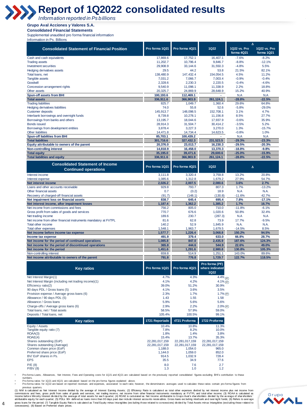# **Report of 1Q2022 consolidated results**

*Information reported in Ps billions*

#### **Grupo Aval Acciones y Valores S.A.**

**Consolidated Financial Statements** 

Supplemental unaudited pro forma financial information Information in Ps. Billions

|                                                                                                           |                           |                           |                                           | $\Delta$                   |                            |
|-----------------------------------------------------------------------------------------------------------|---------------------------|---------------------------|-------------------------------------------|----------------------------|----------------------------|
| <b>Consolidated Statement of Financial Position</b>                                                       | Pro forma 1Q21            | Pro forma 4Q21            | <b>1Q22</b>                               | 1Q22 vs. Pro<br>forma 4Q21 | 1Q22 vs. Pro<br>forma 1Q21 |
| Cash and cash equivalents                                                                                 | 17,869.6                  | 17,752.1                  | 16,407.1                                  | $-7.6%$                    | $-8.2%$                    |
| <b>Trading assets</b>                                                                                     | 11,202.7                  | 10,796.4                  | 9,846.7                                   | $-8.8%$                    | $-12.1%$                   |
| Investment securities<br>Hedging derivatives assets                                                       | 29,908.9<br>29.5          | 33,144.6<br>44.2          | 31,550.3<br>53.8                          | $-4.8%$<br>21.5%           | 5.5%<br>82.1%              |
| Total loans, net                                                                                          | 138,480.9                 | 147,432.4                 | 154,054.5                                 | 4.5%                       | 11.2%                      |
| Tangible assets                                                                                           | 7,031.2                   | 7.066.7                   | 7,003.4                                   | $-0.9%$                    | $-0.4%$                    |
| Goodwill                                                                                                  | 2,328.6                   | 2,230.3                   | 2,220.5                                   | $-0.4%$                    | $-4.6%$                    |
| Concession arrangement rights                                                                             | 9,540.9                   | 11,098.1                  | 11,338.9                                  | 2.2%                       | 18.8%                      |
| Other assets<br>Spun-off assets from BHI                                                                  | 20,325.7<br>100,193.6     | 24,869.9<br>112,469.1     | 28,648.9                                  | 15.2%<br>N.A               | 40.9%<br>N.A               |
| <b>Total assets</b>                                                                                       | 336,911.6                 | 366.903.9                 | 261,124.1                                 | $-28.8%$                   | $-22.5%$                   |
| <b>Trading liabilities</b>                                                                                | 825.7                     | 1,049.7                   | 1,360.4                                   | 29.6%                      | 64.8%                      |
| <b>Hedging derivatives liabilities</b>                                                                    | 74.0                      | 55.8                      | 52.6                                      | $-5.8%$                    | $-29.0%$                   |
| <b>Customer deposits</b>                                                                                  | 145.913.7                 | 148,098.5                 | 152,708.1                                 | 3.1%                       | 4.7%                       |
| Interbank borrowings and overnight funds<br>Borrowings from banks and others                              | 8,739.8                   | 10,278.1                  | 11,156.8<br>17,937.9                      | 8.5%<br>$-0.6%$            | 27.7%<br>35.9%             |
| <b>Bonds issued</b>                                                                                       | 13, 195.7<br>28,914.3     | 18,044.6<br>31,504.7      | 30,414.2                                  | $-3.5%$                    | 5.2%                       |
| Borrowings from development entities                                                                      | 3,878.4                   | 3,227.3                   | 3,270.0                                   | 1.3%                       | $-15.7%$                   |
| <b>Other liabilities</b>                                                                                  | 14,471.8                  | 14,734.4                  | 14,623.5                                  | $-0.8%$                    | 1.0%                       |
| <b>Spun-off liabilities from BHI</b>                                                                      | 85,703.1                  | 100,439.2                 |                                           | N.A                        | N.A                        |
| <b>Total liabilities</b>                                                                                  | 301,716.6                 | 327,432.3                 | 231,523.5                                 | $-29.3%$                   | $-23.3%$                   |
| Equity attributable to owners of the parent<br>Non-controlling interest                                   | 20,376.0<br>14,818.9      | 23,013.7<br>16,458.0      | 16,230.3<br>13,370.3                      | $-29.5%$<br>$-18.8%$       | $-20.3%$<br>$-9.8%$        |
| <b>Total equity</b>                                                                                       | 35,195.0                  | 39,471.6                  | 29,600.6                                  | $-25.0%$                   | $-15.9%$                   |
| <b>Total liabilities and equity</b>                                                                       | 336,911.6                 | 366,903.9                 | 261,124.1                                 | $-28.8%$                   | $-22.5%$                   |
| <b>Consolidated Statement of Income</b><br><b>Continued operations</b>                                    | Pro forma 1Q21            | Pro forma 4Q21            | 1Q22                                      | Δ                          |                            |
| Interest income                                                                                           | 3,111.8                   | 3,320.4                   | 3,759.8                                   | 13.2%                      | 20.8%                      |
| Interest expense                                                                                          | 1,085.6                   | 1,312.8                   | 1,679.2                                   | 27.9%                      | 54.7%                      |
| Net interest income                                                                                       | 2,026.2                   | 2,007.5                   | 2,080.6                                   | 3.6%                       | 2.7%                       |
| Loans and other accounts receivable<br>Other financial assets                                             | 929.8<br>0.7              | 793.7<br>(0.2)            | 807.3<br>18.9                             | 1.7%<br>N.A                | $-13.2%$<br>N.A.           |
| Recovery of charged-off financial assets                                                                  | (91.7)                    | (148.1)                   | (130.8)                                   | $-11.6%$                   | 42.7%                      |
| Net impairment loss on financial assets                                                                   | 838.7                     | 645.4                     | 695.4                                     | 7.8%                       | $-17.1%$                   |
| Net interest income, after impairment losses                                                              | 1,187.4                   | 1,362.2                   | 1,385.2                                   | 1.7%                       | 16.7%                      |
| Net income from commissions and fees                                                                      | 756.2                     | 805.0                     | 710.0                                     | $-11.8%$                   | $-6.1%$                    |
| Gross profit from sales of goods and services<br>Net trading income                                       | 770.7<br>189.6            | 676.6<br>230.7            | 1,020.6<br>(287.3)                        | 50.8%<br>N.A               | 32.4%<br>N.A               |
| Net income from other financial instruments mandatory at FVTPL                                            | 81.6                      | 62.8                      | 73.9                                      | 17.7%                      | $-9.5%$                    |
| Total other income                                                                                        | 140.2                     | 52.9                      | 1,845.9                                   | N.A.                       | N.A.                       |
| Total other expenses                                                                                      | 1,548.1                   | 1,963.7                   | 1,679.5                                   | $-14.5%$                   | 8.5%                       |
| Net income before income tax expense                                                                      | 1,577.7                   | 1,226.4                   | 3,068.8                                   | 150.2%                     | 94.5%                      |
| Income tax expense                                                                                        | 491.9<br>1,085.8          | 379.4<br>847.0            | 633.0<br>2,435.9                          | 66.8%<br>187.6%            | 28.7%<br>124.3%            |
| Net income for the period of continued operations<br>Net income for the period of discontinued operations | 365.8                     | 444.6                     | 544.9                                     | 22.6%                      | 49.0%                      |
| Net income for the period                                                                                 | 1,451.6                   | 1,291.6                   | 2,980.8                                   | 130.8%                     | 105.3%                     |
| Non-controlling interest                                                                                  | 659.8                     | 514.9                     | 1,251.1                                   | 143.0%                     | 89.6%                      |
| Net income attributable to owners of the parent                                                           | 791.8                     | 776.8                     | 1,729.7                                   | 122.7%                     | 118.5%                     |
| <b>Key ratios</b>                                                                                         | Pro forma 1Q21            | Pro forma 4Q21            | Pro forma (PF)<br>where indicated<br>1Q22 |                            |                            |
| Net Interest Margin(1)                                                                                    | 4.7%                      | 4.3%                      | $4.4\%$ (PF)                              |                            |                            |
| Net Interest Margin (including net trading income)(1)                                                     | 4.1%                      | 4.2%                      | $4.1\%$ (PF)                              |                            |                            |
| Efficiency ratio(2)<br>90 days PDL / Gross loans (5)                                                      | 39.0%<br>4.1%             | 51.2%<br>3.6%             | 30.9%<br>3.5%                             |                            |                            |
| Provision expense / Average gross loans (6)                                                               | 2.3%                      | 1.7%                      | 1.7% (PF)                                 |                            |                            |
| Allowance / 90 days PDL (5)                                                                               | 1.43                      | 1.55                      | 1.58                                      |                            |                            |
| Allowance / Gross loans                                                                                   | 5.9%                      | 5.6%                      | 5.6%                                      |                            |                            |
| Charge-offs / Average gross loans (6)                                                                     | 2.9%                      | 2.2%                      | 2.0% 图                                    |                            |                            |
| Total loans, net / Total assets<br>Deposits / Total loans, net                                            | 58.5%<br>105.4%           | 57.9%<br>100.5%           | 59.0%<br>99.1%                            |                            |                            |
|                                                                                                           |                           |                           |                                           |                            |                            |
| <b>Key ratios</b>                                                                                         | 1T21 Reportado            | 4T21 Proforma             | 1T22 Proforma                             |                            |                            |
| Equity / Assets                                                                                           | 10.4%                     | 10.8%                     | 11.3%                                     |                            |                            |
| Tangible equity ratio (7)<br>ROAA(3)                                                                      | 7.8%<br>1.8%              | 8.2%<br>1.4%              | 10.0%<br>3.8%                             |                            |                            |
| ROAE(4)                                                                                                   | 15.4%                     | 13.7%                     | 35.3%                                     |                            |                            |
| Shares outstanding (EoP)                                                                                  | 22,281,017,159            | 22.281.017.159            | 22,281,017,159                            |                            |                            |
| Shares outstanding (Average)<br>Common share price (EoP)                                                  | 22,281,017,159<br>1,188.0 | 22,281,017,159<br>1.054.0 | 22,281,017,159<br>965.0                   |                            |                            |
| Preferred share price (EoP)                                                                               | 1,144.0                   | 1,059.0                   | 852.0                                     |                            |                            |
| BV/ EoP shares in Ps.                                                                                     | 914.5                     | 1,032.9                   | 728.4                                     |                            |                            |
| <b>EPS</b>                                                                                                | 35.5                      | 34.9                      | 77.6                                      |                            |                            |
| P/E(8)<br>P/BV (8)                                                                                        | 8.0<br>1.3                | 7.6<br>1.0                | 2.7<br>1.2                                |                            |                            |
|                                                                                                           |                           |                           |                                           |                            |                            |

• Pro-forma Loans, Allowances, Net Interest, Fees and Operating costs for 1Q21 and 4Q21 are calculated based on the previously reported consolidated figures excluding BHI's contribution to these

numbers. • Pro-forma ratios for 1Q21 and 4Q21 are calculated based on the pro-forma figures explained above.

• Pro-forma ratios for 1Q22 are based on reported revenues and expenses, associated to each ratio; however, the denominators averages used to calculate these ratios contain pro-forma figures from

previous quarters.<br>(1) MM is calculated as Net Interest Income divided by the average of Interest Earning Assets; (2) Efficiency Ratio is calculated as total other expenses divided by net interest income plus net income fr gross loans for the period; (7) Tanglible Equity Ratio is calculated as Total Equity minus Intangibles (excluding those related to concessions) divided by Total Assets minus Intangibles (excluding those related to<br>concessi

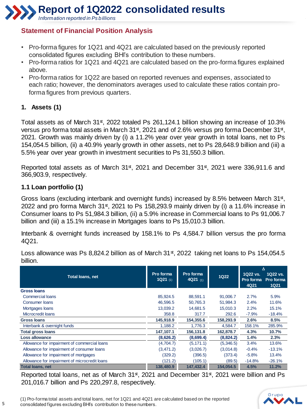**Report of 1Q2022 consolidated results**

*Information reported in Ps billions*

## **Statement of Financial Position Analysis**

- Pro-forma figures for 1Q21 and 4Q21 are calculated based on the previously reported consolidated figures excluding BHI's contribution to these numbers.
- Pro-forma ratios for 1Q21 and 4Q21 are calculated based on the pro-forma figures explained above.
- Pro-forma ratios for 1Q22 are based on reported revenues and expenses, associated to each ratio; however, the denominators averages used to calculate these ratios contain proforma figures from previous quarters.

### **1. Assets (1)**

Total assets as of March 31<sup>st</sup>, 2022 totaled Ps 261,124.1 billion showing an increase of 10.3% versus pro forma total assets in March 31st, 2021 and of 2.6% versus pro forma December 31st, 2021. Growth was mainly driven by (i) a 11.2% year over year growth in total loans, net to Ps 154,054.5 billion, (ii) a 40.9% yearly growth in other assets, net to Ps 28,648.9 billion and (iii) a 5.5% year over year growth in investment securities to Ps 31,550.3 billion.

Reported total assets as of March 31<sup>st</sup>, 2021 and December 31<sup>st</sup>, 2021 were 336,911.6 and 366,903.9, respectively.

#### **1.1 Loan portfolio (1)**

Gross loans (excluding interbank and overnight funds) increased by 8.5% between March 31<sup>st</sup>, 2022 and pro forma March 31 $*$ , 2021 to Ps 158,293.9 mainly driven by (i) a 11.6% increase in Consumer loans to Ps 51,984.3 billion, (ii) a 5.9% increase in Commercial loans to Ps 91,006.7 billion and (iii) a 15.1% increase in Mortgages loans to Ps 15,010.3 billion.

Interbank & overnight funds increased by 158.1% to Ps 4,584.7 billion versus the pro forma 4Q21.

**1Q22 vs. Pro forma Pro forma 4Q21 1Q22 vs. 1Q21 Gross loans** Commercial loans 85,924.5 88,591.1 91,006.7 2.7% 5.9% Consumer loans 46,596.5 50,765.3 51,984.3 2.4% 11.6% Mortgages loans 13,039.2 14,681.5 15,010.3 2.2% 15.1% Microcredit loans 358.8 317.7 292.6 -7.9% -18.4% **Gross loans 145,918.9 154,355.6 158,293.9 2.6% 8.5%** Interbank & overnight funds 1,188.2 1,776.3 4,584.7 158.1% 285.9% **Total gross loans 147,107.1 156,131.8 162,878.7 4.3% 10.7% Loss allowance (8,626.2) (8,699.4) (8,824.2) 1.4% 2.3%** Allowance for impairment of commercial loans (4,704.7) (5,171.1) (5,346.5) 3.4% 13.6% Allowance for impairment of consumer loans (3,471.2) (3,026.7) (3,014.8) -0.4% -13.1% Allowance for impairment of mortgages (329.2) (329.2) (396.5) (373.4) -5.8% 13.4% Allowance for impairment of microcredit loans (121.2) (120.2) (105.1) (89.5) -14.8% -26.1% **Total loans, net 138,480.9 147,432.4 154,054.5 4.5% 11.2% 1Q22**  $\Delta$ **Total loans, net Pro forma 1Q21 Pro forma**  (1) **4Q21** (1)

Loss allowance was Ps 8,824.2 billion as of March 31<sup>st</sup>, 2022 taking net loans to Ps 154,054.5 billion.

Reported total loans, net as of March 31<sup>st</sup>, 2021 and December 31<sup>st</sup>, 2021 were billion and Ps 201,016.7 billion and Ps 220,297.8, respectively.



(1) Pro-forma total assets and total loans, net for 1Q21 and 4Q21 are calculated based on the reported consolidated figures excluding BHI's contribution to these numbers.

**5**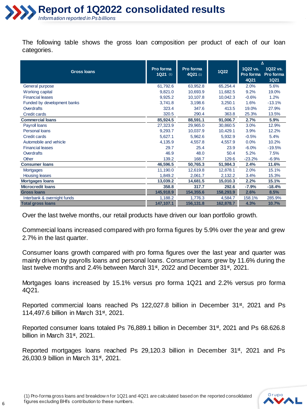

The following table shows the gross loan composition per product of each of our loan categories.

|                             |                       |                       |             | Δ                             |                                      |
|-----------------------------|-----------------------|-----------------------|-------------|-------------------------------|--------------------------------------|
| <b>Gross loans</b>          | Pro forma<br>1Q21 (1) | Pro forma<br>4Q21 (1) | <b>1Q22</b> | 1Q22 vs.<br>Pro forma<br>4Q21 | 1Q22 vs.<br>Pro forma<br><b>1Q21</b> |
| General purpose             | 61,792.6              | 63,952.8              | 65,254.4    | 2.0%                          | 5.6%                                 |
| Working capital             | 9,821.0               | 10,693.9              | 11,682.5    | 9.2%                          | 19.0%                                |
| <b>Financial leases</b>     | 9,925.2               | 10,107.8              | 10,042.3    | $-0.6%$                       | 1.2%                                 |
| Funded by development banks | 3,741.8               | 3,198.6               | 3,250.1     | 1.6%                          | $-13.1%$                             |
| <b>Overdrafts</b>           | 323.4                 | 347.6                 | 413.5       | 19.0%                         | 27.9%                                |
| <b>Credit cards</b>         | 320.5                 | 290.4                 | 363.8       | 25.3%                         | 13.5%                                |
| <b>Commercial loans</b>     | 85,924.5              | 88,591.1              | 91,006.7    | 2.7%                          | 5.9%                                 |
| Payroll loans               | 27,323.9              | 29,965.0              | 30,860.5    | 3.0%                          | 12.9%                                |
| Personal loans              | 9,293.7               | 10,037.9              | 10,429.1    | 3.9%                          | 12.2%                                |
| <b>Credit cards</b>         | 5,627.1               | 5,962.6               | 5.932.9     | $-0.5%$                       | 5.4%                                 |
| Automobile and vehicle      | 4,135.9               | 4,557.8               | 4,557.9     | 0.0%                          | 10.2%                                |
| <b>Financial leases</b>     | 29.7                  | 25.4                  | 23.9        | $-6.0%$                       | $-19.5%$                             |
| <b>Overdrafts</b>           | 46.9                  | 48.0                  | 50.4        | 5.2%                          | 7.5%                                 |
| Other                       | 139.2                 | 168.7                 | 129.6       | $-23.2%$                      | $-6.9%$                              |
| <b>Consumer loans</b>       | 46,596.5              | 50,765.3              | 51,984.3    | 2.4%                          | 11.6%                                |
| <b>Mortgages</b>            | 11,190.0              | 12,619.8              | 12,878.1    | 2.0%                          | 15.1%                                |
| <b>Housing leases</b>       | 1,849.2               | 2,061.7               | 2,132.2     | 3.4%                          | 15.3%                                |
| <b>Mortgages loans</b>      | 13,039.2              | 14,681.5              | 15,010.3    | 2.2%                          | 15.1%                                |
| <b>Microcredit loans</b>    | 358.8                 | 317.7                 | 292.6       | $-7.9%$                       | $-18.4%$                             |
| <b>Gross loans</b>          | 145,918.9             | 154,355.6             | 158,293.9   | 2.6%                          | 8.5%                                 |
| Interbank & overnight funds | 1,188.2               | 1,776.3               | 4,584.7     | 158.1%                        | 285.9%                               |
| <b>Total gross loans</b>    | 147,107.1             | 156.131.8             | 162,878.7   | 4.3%                          | 10.7%                                |

Over the last twelve months, our retail products have driven our loan portfolio growth.

Commercial loans increased compared with pro forma figures by 5.9% over the year and grew 2.7% in the last quarter.

Consumer loans growth compared with pro forma figures over the last year and quarter was mainly driven by payrolls loans and personal loans. Consumer loans grew by 11.6% during the last twelve months and 2.4% between March 31<sup>st</sup>, 2022 and December 31<sup>st</sup>, 2021.

Mortgages loans increased by 15.1% versus pro forma 1Q21 and 2.2% versus pro forma 4Q21.

Reported commercial loans reached Ps 122,027.8 billion in December 31<sup>st</sup>, 2021 and Ps 114,497.6 billion in March 31st, 2021.

Reported consumer loans totaled Ps 76,889.1 billion in December 31<sup>st</sup>, 2021 and Ps 68.626.8 billion in March 31st, 2021.

Reported mortgages loans reached Ps 29,120.3 billion in December 31<sup>st</sup>, 2021 and Ps 26,030.9 billion in March 31st, 2021.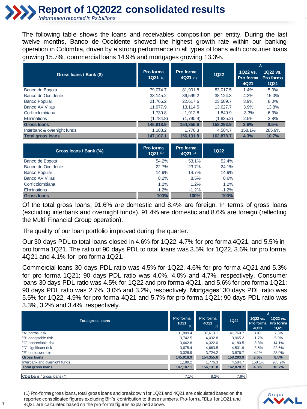# **Report of 1Q2022 consolidated results**

*Information reported in Ps billions* 

The following table shows the loans and receivables composition per entity. During the last twelve months, Banco de Occidente showed the highest growth rate within our banking operation in Colombia, driven by a strong performance in all types of loans with consumer loans growing 15.7%, commercial loans 14.9% and mortgages growing 13.3%.

|                             |                                    |                         |             | Δ                             |                                      |
|-----------------------------|------------------------------------|-------------------------|-------------|-------------------------------|--------------------------------------|
| Gross Ioans / Bank (\$)     | Pro forma<br>1Q21 $(1)$            | Pro forma<br>$4Q21$ (1) | <b>1Q22</b> | 1Q22 vs.<br>Pro forma<br>4Q21 | 1Q22 vs.<br>Pro forma<br><b>1Q21</b> |
| Banco de Bogotá             | 79.074.7                           | 81,901.8                | 83,017.5    | 1.4%                          | 5.0%                                 |
| Banco de Occidente          | 33,145.2                           | 36,599.2                | 38,124.3    | 4.2%                          | 15.0%                                |
| <b>Banco Popular</b>        | 21,766.2                           | 22,617.6                | 23,509.7    | 3.9%                          | 8.0%                                 |
| Banco AV Villas             | 11.977.9                           | 13.114.5                | 13,627.7    | 3.9%                          | 13.8%                                |
| Corficolombiana             | 1,739.8                            | 1,912.8                 | 1,849.9     | $-3.3%$                       | 6.3%                                 |
| <b>Eliminations</b>         | (1,784.8)                          | (1,790.4)               | (1,835.2)   | 2.5%                          | 2.8%                                 |
| <b>Gross loans</b>          | 145,918.9                          | 154,355.6               | 158,293.9   | 2.6%                          | 8.5%                                 |
| Interbank & overnight funds | 1,188.2                            | 1,776.3                 | 4,584.7     | 158.1%                        | 285.9%                               |
| <b>Total gross loans</b>    | 147,107.1                          | 156,131.8               | 162,878.7   | 4.3%                          | 10.7%                                |
| Gross Ioans / Bank (%)      | Pro forma<br>$1Q21$ <sup>(1)</sup> | Pro forma<br>$4Q21$ (1) | <b>1Q22</b> |                               |                                      |
| Banco de Bogotá             | 54.2%                              | 53.1%                   | 52.4%       |                               |                                      |
| Banco de Occidente          | 22.7%                              | 23.7%                   | 24.1%       |                               |                                      |
| <b>Banco Popular</b>        | 14.9%                              | 14.7%                   | 14.9%       |                               |                                      |
| <b>Banco AV Villas</b>      | 8.2%                               | 8.5%                    | 8.6%        |                               |                                      |

Of the total gross loans, 91.6% are domestic and 8.4% are foreign. In terms of gross loans (excluding interbank and overnight funds), 91.4% are domestic and 8.6% are foreign (reflecting the Multi Financial Group operation).

Corficolombiana 1.2% 1.2% 1.2% Eliminations -1.2% -1.2% -1.2% **Gross loans 100% 100% 100%**

The quality of our loan portfolio improved during the quarter.

Our 30 days PDL to total loans closed in 4.6% for 1Q22, 4.7% for pro forma 4Q21, and 5.5% in pro forma 1Q21. The ratio of 90 days PDL to total loans was 3.5% for 1Q22, 3.6% for pro forma 4Q21 and 4.1% for pro forma 1Q21.

Commercial loans 30 days PDL ratio was 4.5% for 1Q22, 4.6% for pro forma 4Q21 and 5.3% for pro forma 1Q21; 90 days PDL ratio was 4.0%, 4.0% and 4.7%, respectively. Consumer loans 30 days PDL ratio was 4.5% for 1Q22 and pro forma 4Q21, and 5.6% for pro forma 1Q21; 90 days PDL ratio was 2.7%, 3.0% and 3.2%, respectively. Mortgages' 30 days PDL ratio was 5.5% for 1Q22, 4.9% for pro forma 4Q21 and 5.7% for pro forma 1Q21; 90 days PDL ratio was 3.3%, 3.2% and 3.4%, respectively.

|                               |                                 |                          |             |                               | Δ                                    |
|-------------------------------|---------------------------------|--------------------------|-------------|-------------------------------|--------------------------------------|
| <b>Total gross loans</b>      | Pro forma<br><b>1Q21</b><br>(1) | Pro forma<br>4Q21<br>(1) | <b>1Q22</b> | 1Q22 vs.<br>Pro forma<br>4Q21 | 1Q22 vs.<br>Pro forma<br><b>1Q21</b> |
| "A" normal risk               | 131.809.4                       | 137.613.1                | 141.769.7   | 3.0%                          | 7.6%                                 |
| "B" acceptable risk           | 3.742.5                         | 4,032.8                  | 3.965.2     | $-1.7%$                       | 5.9%                                 |
| "C" appreciable risk          | 3.662.8                         | 4.322.0                  | 4.180.5     | $-3.3%$                       | 14.1%                                |
| "D" significant risk          | 3.675.4                         | 4,663.5                  | 4.501.9     | $-3.5%$                       | 22.5%                                |
| "E" unrecoverable             | 3.028.9                         | 3.724.2                  | 3.876.7     | 4.1%                          | 28.0%                                |
| <b>Gross loans</b>            | 145,918.9                       | 154,355.6                | 158.293.9   | 2.6%                          | 8.5%                                 |
| Interbank and overnight funds | 1.188.2                         | 1.776.3                  | 4.584.7     | 158.1%                        | 285.9%                               |
| <b>Total gross loans</b>      | 147.107.1                       | 156.131.8                | 162,878.7   | 4.3%                          | 10.7%                                |
| CDE loans / gross loans (*)   | 7.1%                            | 8.2%                     | 7.9%        |                               |                                      |

(1) Pro-forma gross loans, total gross loans and breakdow n for 1Q21 and 4Q21 are calculated based on the reported consolidated figures excluding BHI's contribution to these numbers. Pro-forma PDLs for 1Q21 and 4Q21 are calculated based on the pro-forma figures explained above.

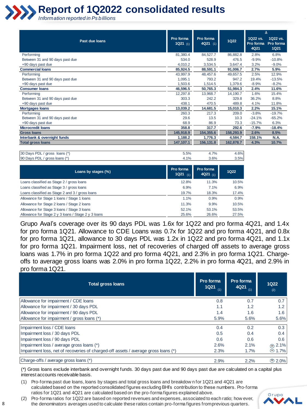

|                                 |                      |                       |             |                               | Δ                                    |
|---------------------------------|----------------------|-----------------------|-------------|-------------------------------|--------------------------------------|
| Past due loans                  | Pro forma<br>1Q21(1) | Pro forma<br>4Q21 (1) | <b>1Q22</b> | 1Q22 vs.<br>Pro forma<br>4Q21 | 1Q22 vs.<br>Pro forma<br><b>1Q21</b> |
| Performing                      | 81,380.4             | 84,527.7              | 86,882.8    | 2.8%                          | 6.8%                                 |
| Between 31 and 90 days past due | 534.0                | 528.9                 | 476.5       | $-9.9%$                       | $-10.8%$                             |
| +90 days past due               | 4.010.2              | 3,534.5               | 3,647.4     | 3.2%                          | $-9.0%$                              |
| <b>Commercial loans</b>         | 85,924.5             | 88,591.1              | 91,006.7    | 2.7%                          | 5.9%                                 |
| Performing                      | 43,997.9             | 48,457.6              | 49,657.5    | 2.5%                          | 12.9%                                |
| Between 31 and 90 days past due | 1,095.1              | 793.2                 | 947.2       | 19.4%                         | $-13.5%$                             |
| +90 days past due               | 1,503.6              | 1,514.5               | 1.379.6     | $-8.9%$                       | $-8.2%$                              |
| <b>Consumer loans</b>           | 46,596.5             | 50,765.3              | 51,984.3    | 2.4%                          | 11.6%                                |
| Performing                      | 12,297.8             | 13,968.7              | 14,190.7    | 1.6%                          | 15.4%                                |
| Between 31 and 90 days past due | 303.3                | 242.2                 | 329.8       | 36.2%                         | 8.8%                                 |
| +90 days past due               | 438.1                | 470.5                 | 489.8       | 4.1%                          | 11.8%                                |
| <b>Mortgages loans</b>          | 13,039.2             | 14,681.5              | 15,010.3    | 2.2%                          | 15.1%                                |
| Performing                      | 260.3                | 217.3                 | 209.0       | $-3.8%$                       | $-19.7%$                             |
| Between 31 and 90 days past due | 29.6                 | 13.5                  | 10.3        | $-24.1%$                      | $-65.2%$                             |
| +90 days past due               | 68.9                 | 86.9                  | 73.3        | $-15.7%$                      | 6.3%                                 |
| <b>Microcredit Ioans</b>        | 358.8                | 317.7                 | 292.6       | $-7.9%$                       | $-18.4%$                             |
| <b>Gross loans</b>              | 145,918.9            | 154,355.6             | 158,293.9   | 2.6%                          | 8.5%                                 |
| Interbank & overnight funds     | 1,188.2              | 1,776.3               | 4,584.7     | 158.1%                        | <b>N.A.</b>                          |
| <b>Total gross loans</b>        | 147,107.1            | 156,131.8             | 162,878.7   | 4.3%                          | 10.7%                                |

| 30 Days PDL / gross loans (*) | 5.5%  | 4.7% | 4.6% |
|-------------------------------|-------|------|------|
| 90 Days PDL / gross loans (*) | $1\%$ | 3.6% | 3.5% |
|                               |       |      |      |

| Loans by stages (%)                                 | Pro forma<br>$1Q21$ (1) | Pro forma<br>$4Q21$ (1) | 1Q22  |
|-----------------------------------------------------|-------------------------|-------------------------|-------|
| Loans classified as Stage 2 / gross loans           | 12.8%                   | 11.3%                   | 10.5% |
| Loans classified as Stage 3 / gross loans           | 6.9%                    | 7.1%                    | 6.9%  |
| Loans classified as Stage 2 and 3 / gross loans     | 19.7%                   | 18.3%                   | 17.4% |
| Allowance for Stage 1 loans / Stage 1 loans         | 1.1%                    | 0.9%                    | 0.9%  |
| Allowance for Stage 2 loans / Stage 2 loans         | 11.3%                   | 9.9%                    | 10.5% |
| Allowance for Stage 3 loans / Stage 3 loans         | 52.1%                   | 53.1%                   | 53.5% |
| Allowance for Stage 2 y 3 loans / Stage 2 y 3 loans | 25.6%                   | 26.6%                   | 27.5% |

Grupo Aval's coverage over its 90 days PDL was 1.6x for 1Q22 and pro forma 4Q21, and 1.4x for pro forma 1Q21. Allowance to CDE Loans was 0.7x for 1Q22 and pro forma 4Q21, and 0.8x for pro forma 1Q21, allowance to 30 days PDL was 1.2x in 1Q22 and pro forma 4Q21, and 1.1x for pro forma 1Q21. Impairment loss, net of recoveries of charged off assets to average gross loans was 1.7% in pro forma 1Q22 and pro forma 4Q21, and 2.3% in pro forma 1Q21. Chargeoffs to average gross loans was 2.0% in pro forma 1Q22, 2.2% in pro forma 4Q21, and 2.9% in pro forma 1Q21.

| <b>Total gross loans</b>                                                           | Pro forma<br>$1021$ (1) | Pro forma<br>4Q21<br>(1) | <b>1Q22</b><br>(2)  |
|------------------------------------------------------------------------------------|-------------------------|--------------------------|---------------------|
| Allowance for impairment / CDE loans                                               | 0.8                     | 0.7                      | 0.7                 |
| Allowance for impairment / 30 days PDL                                             | 1.1                     | 1.2                      | 1.2                 |
| Allowance for impairment / 90 days PDL                                             | 1.4                     | 1.6                      | 1.6                 |
| Allowance for impairment / gross loans (*)                                         | 5.9%                    | 5.6%                     | 5.6%                |
| Impairment loss / CDE loans                                                        | 0.4                     | 0.2                      | 0.3                 |
| Impairment loss / 30 days PDL                                                      | 0.5                     | 0.4                      | 0.4                 |
| Impairment loss / 90 days PDL                                                      | 0.6                     | 0.6                      | 0.6                 |
| Impairment loss / average gross loans (*)                                          | 2.6%                    | 2.1%                     | (PF) 2.1%           |
| Impairment loss, net of recoveries of charged-off assets / average gross loans (*) | 2.3%                    | 1.7%                     | <sup>@</sup> 1.7%   |
| Charge-offs / average gross loans (*)                                              | 2.9%                    | 2.2%                     | $\circledcirc$ 2.0% |

(\*) Gross loans exclude interbank and overnight funds. 30 days past due and 90 days past due are calculated on a capital plus interest accounts receivable basis.

(1) Pro-forma past due loans, loans by stages and total gross loans and breakdow n for 1Q21 and 4Q21 are calculated based on the reported consolidated figures excluding BHI's contribution to these numbers. Pro-forma ratios for 1Q21 and 4Q21 are calculated based on the pro-forma figures explained above.

(2) Pro-forma ratios for 1Q22 are based on reported revenues and expenses, associated to each ratio; how ever, the denominators averages used to calculate these ratios contain pro-forma figures from previous quarters.

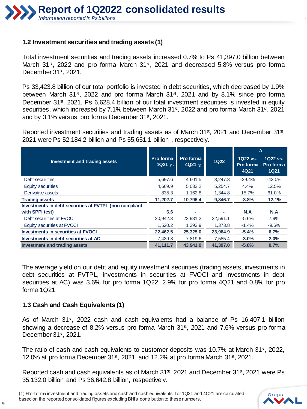### **1.2 Investment securities and trading assets (1)**

Total investment securities and trading assets increased 0.7% to Ps 41,397.0 billion between March 31<sup>st</sup>, 2022 and pro forma March 31<sup>st</sup>, 2021 and decreased 5.8% versus pro forma December 31st, 2021.

Ps 33,423.8 billion of our total portfolio is invested in debt securities, which decreased by 1.9% between March 31<sup>st</sup>, 2022 and pro forma March 31<sup>st</sup>, 2021 and by 8.1% since pro forma December 31<sup>st</sup>, 2021. Ps 6,628.4 billion of our total investment securities is invested in equity securities, which increased by 7.1% between March 31<sup>st</sup>, 2022 and pro forma March 31<sup>st</sup>, 2021 and by 3.1% versus pro forma December 31st, 2021.

Reported investment securities and trading assets as of March 31<sup>st</sup>, 2021 and December 31<sup>st</sup>, 2021 were Ps 52,184.2 billion and Ps 55,651.1 billion , respectively.

|                                                        |                       |                         |             | Δ                             |                                      |
|--------------------------------------------------------|-----------------------|-------------------------|-------------|-------------------------------|--------------------------------------|
| Investment and trading assets                          | Pro forma<br>1Q21 (1) | Pro forma<br>4Q21 $(1)$ | <b>1Q22</b> | 1Q22 vs.<br>Pro forma<br>4Q21 | 1Q22 vs.<br>Pro forma<br><b>1Q21</b> |
| Debt securities                                        | 5,697.6               | 4,601.5                 | 3,247.3     | $-29.4%$                      | $-43.0%$                             |
| Equity securities                                      | 4,669.9               | 5,032.2                 | 5,254.7     | 4.4%                          | 12.5%                                |
| Derivative assets                                      | 835.3                 | 1.162.8                 | 1.344.8     | 15.7%                         | 61.0%                                |
| <b>Trading assets</b>                                  | 11,202.7              | 10.796.4                | 9,846.7     | $-8.8%$                       | $-12.1%$                             |
| Investments in debt securities at FVTPL (non compliant |                       |                         |             |                               |                                      |
| with SPPI test)                                        | 6.6                   |                         |             | N.A                           | N.A                                  |
| Debt securities at FVOCI                               | 20,942.3              | 23,931.2                | 22,591.1    | $-5.6%$                       | 7.9%                                 |
| Equity securities at FVOCI                             | 1,520.2               | 1,393.9                 | 1.373.8     | $-1.4%$                       | $-9.6%$                              |
| <b>Investments in securities at FVOCI</b>              | 22,462.5              | 25,325.0                | 23,964.9    | $-5.4%$                       | 6.7%                                 |
| Investments in debt securities at AC                   | 7,439.8               | 7,819.6                 | 7,585.4     | $-3.0%$                       | 2.0%                                 |
| Investment and trading assets                          | 41.111.7              | 43.941.0                | 41.397.0    | $-5.8%$                       | 0.7%                                 |

The average yield on our debt and equity investment securities (trading assets, investments in debt securities at FVTPL, investments in securities at FVOCI and investments in debt securities at AC) was 3.6% for pro forma 1Q22, 2.9% for pro forma 4Q21 and 0.8% for pro forma 1Q21.

#### **1.3 Cash and Cash Equivalents (1)**

As of March 31<sup>st</sup>, 2022 cash and cash equivalents had a balance of Ps 16,407.1 billion showing a decrease of 8.2% versus pro forma March 31st, 2021 and 7.6% versus pro forma December 31<sup>st</sup>, 2021.

The ratio of cash and cash equivalents to customer deposits was 10.7% at March 31<sup>st</sup>, 2022, 12.0% at pro forma December 31 $\frac{st}{s}$ , 2021, and 12.2% at pro forma March 31 $\frac{st}{s}$ , 2021.

Reported cash and cash equivalents as of March 31<sup>st</sup>, 2021 and December 31<sup>st</sup>, 2021 were Ps 35,132.0 billion and Ps 36,642.8 billion, respectively.

(1) Pro-forma investment and trading assets and cash and cash equivalents for 1Q21 and 4Q21 are calculated based on the reported consolidated figures excluding BHI's contribution to these numbers.

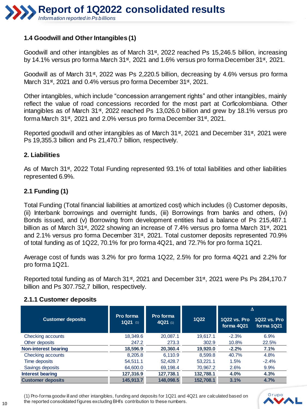

### **1.4 Goodwill and Other Intangibles (1)**

Goodwill and other intangibles as of March 31<sup>st</sup>, 2022 reached Ps 15,246.5 billion, increasing by 14.1% versus pro forma March 31st, 2021 and 1.6% versus pro forma December 31st, 2021.

Goodwill as of March 31<sup>st</sup>, 2022 was Ps 2,220.5 billion, decreasing by 4.6% versus pro forma March 31st, 2021 and 0.4% versus pro forma December 31st, 2021.

Other intangibles, which include "concession arrangement rights" and other intangibles, mainly reflect the value of road concessions recorded for the most part at Corficolombiana. Other intangibles as of March 31st, 2022 reached Ps 13,026.0 billion and grew by 18.1% versus pro forma March 31st, 2021 and 2.0% versus pro forma December 31st, 2021.

Reported goodwill and other intangibles as of March 31<sup>st</sup>, 2021 and December 31<sup>st</sup>, 2021 were Ps 19,355.3 billion and Ps 21,470.7 billion, respectively.

#### **2. Liabilities**

As of March 31st, 2022 Total Funding represented 93.1% of total liabilities and other liabilities represented 6.9%.

#### **2.1 Funding (1)**

Total Funding (Total financial liabilities at amortized cost) which includes (i) Customer deposits, (ii) Interbank borrowings and overnight funds, (iii) Borrowings from banks and others, (iv) Bonds issued, and (v) Borrowing from development entities had a balance of Ps 215,487.1 billion as of March 31<sup>st</sup>, 2022 showing an increase of 7.4% versus pro forma March 31<sup>st</sup>, 2021 and 2.1% versus pro forma December 31<sup>st</sup>, 2021. Total customer deposits represented 70.9% of total funding as of 1Q22, 70.1% for pro forma 4Q21, and 72.7% for pro forma 1Q21.

Average cost of funds was 3.2% for pro forma 1Q22, 2.5% for pro forma 4Q21 and 2.2% for pro forma 1Q21.

Reported total funding as of March 31<sup>st</sup>, 2021 and December 31<sup>st</sup>, 2021 were Ps Ps 284,170.7 billion and Ps 307.752,7 billion, respectively.

#### **2.1.1 Customer deposits**

|                          |                                                                 |           |           | Δ                          |                            |  |
|--------------------------|-----------------------------------------------------------------|-----------|-----------|----------------------------|----------------------------|--|
| <b>Customer deposits</b> | Pro forma<br>Pro forma<br><b>1Q22</b><br>$1Q21$ (1)<br>4Q21 (1) |           |           | 1022 vs. Pro<br>forma 4Q21 | 1022 vs. Pro<br>forma 1Q21 |  |
| Checking accounts        | 18,349.6                                                        | 20.087.1  | 19.617.1  | $-2.3%$                    | 6.9%                       |  |
| Other deposits           | 247.2                                                           | 273.3     | 302.9     | 10.8%                      | 22.5%                      |  |
| Non-interest bearing     | 18,596.9                                                        | 20,360.4  | 19,920.0  | $-2.2%$                    | 7.1%                       |  |
| Checking accounts        | 8,205.8                                                         | 6.110.9   | 8.599.8   | 40.7%                      | 4.8%                       |  |
| Time deposits            | 54.511.1                                                        | 52,428.7  | 53.221.1  | 1.5%                       | $-2.4%$                    |  |
| Savings deposits         | 64,600.0                                                        | 69,198.4  | 70,967.2  | 2.6%                       | 9.9%                       |  |
| Interest bearing         | 127.316.9                                                       | 127,738.1 | 132.788.1 | 4.0%                       | 4.3%                       |  |
| <b>Customer deposits</b> | 145,913.7                                                       | 148,098.5 | 152.708.1 | 3.1%                       | 4.7%                       |  |

(1) Pro-forma goodw ill and other intangibles, funding and deposits for 1Q21 and 4Q21 are calculated based on the reported consolidated figures excluding BHI's contribution to these numbers.

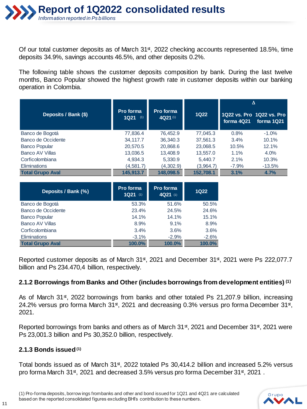Of our total customer deposits as of March 31<sup>st</sup>, 2022 checking accounts represented 18.5%, time deposits 34.9%, savings accounts 46.5%, and other deposits 0.2%.

The following table shows the customer deposits composition by bank. During the last twelve months, Banco Popular showed the highest growth rate in customer deposits within our banking operation in Colombia.

|                         |                         |                      |                  | Δ          |                                         |  |
|-------------------------|-------------------------|----------------------|------------------|------------|-----------------------------------------|--|
| Deposits / Bank (\$)    | Pro forma<br>$1Q21$ (1) | Pro forma<br>4Q21(1) | 1Q <sub>22</sub> | forma 4Q21 | 1022 vs. Pro 1022 vs. Pro<br>forma 1Q21 |  |
| Banco de Bogotá         | 77,836.4                | 76.452.9             | 77,045.3         | 0.8%       | $-1.0%$                                 |  |
| Banco de Occidente      | 34,117.7                | 36,340.3             | 37,561.3         | 3.4%       | 10.1%                                   |  |
| <b>Banco Popular</b>    | 20,570.5                | 20,868.6             | 23,068.5         | 10.5%      | 12.1%                                   |  |
| <b>Banco AV Villas</b>  | 13,036.5                | 13,408.9             | 13,557.0         | 1.1%       | 4.0%                                    |  |
| Corficolombiana         | 4,934.3                 | 5,330.9              | 5,440.7          | $2.1\%$    | 10.3%                                   |  |
| <b>Eliminations</b>     | (4,581.7)               | (4,302.9)            | (3,964.7)        | $-7.9\%$   | $-13.5%$                                |  |
| <b>Total Grupo Aval</b> | 145,913.7               | 148,098.5            | 152.708.1        | 3.1%       | 4.7%                                    |  |

| Deposits / Bank (%)     | Pro forma<br>$1Q21$ (1) | Pro forma<br>4Q21 (1) | <b>1Q22</b> |
|-------------------------|-------------------------|-----------------------|-------------|
| Banco de Bogotá         | 53.3%                   | 51.6%                 | 50.5%       |
| Banco de Occidente      | 23.4%                   | 24.5%                 | 24.6%       |
| <b>Banco Popular</b>    | 14.1%                   | 14.1%                 | 15.1%       |
| <b>Banco AV Villas</b>  | 8.9%                    | 9.1%                  | 8.9%        |
| Corficolombiana         | 3.4%                    | 3.6%                  | 3.6%        |
| <b>Eliminations</b>     | $-3.1%$                 | $-2.9%$               | $-2.6%$     |
| <b>Total Grupo Aval</b> | 100.0%                  | 100.0%                | 100.0%      |

Reported customer deposits as of March 31<sup>st</sup>, 2021 and December 31<sup>st</sup>, 2021 were Ps 222,077.7 billion and Ps 234.470,4 billion, respectively.

## **2.1.2 Borrowings from Banks and Other (includes borrowings from development entities) (1)**

As of March 31<sup>st</sup>, 2022 borrowings from banks and other totaled Ps 21,207.9 billion, increasing 24.2% versus pro forma March 31<sup>st</sup>, 2021 and decreasing 0.3% versus pro forma December 31<sup>st</sup>, 2021.

Reported borrowings from banks and others as of March 31<sup>st</sup>, 2021 and December 31<sup>st</sup>, 2021 were Ps 23,001.3 billion and Ps 30,352.0 billion, respectively.

#### **2.1.3 Bonds issued(1)**

Total bonds issued as of March 31st, 2022 totaled Ps 30,414.2 billion and increased 5.2% versus pro forma March 31st, 2021 and decreased 3.5% versus pro forma December 31st, 2021.

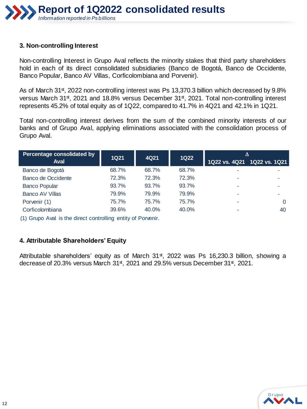

#### **3. Non-controlling Interest**

Non-controlling Interest in Grupo Aval reflects the minority stakes that third party shareholders hold in each of its direct consolidated subsidiaries (Banco de Bogotá, Banco de Occidente, Banco Popular, Banco AV Villas, Corficolombiana and Porvenir).

As of March 31<sup>st</sup>, 2022 non-controlling interest was Ps 13,370.3 billion which decreased by 9.8% versus March 31<sup>st</sup>, 2021 and 18.8% versus December 31<sup>st</sup>, 2021. Total non-controlling interest represents 45.2% of total equity as of 1Q22, compared to 41.7% in 4Q21 and 42.1% in 1Q21.

Total non-controlling interest derives from the sum of the combined minority interests of our banks and of Grupo Aval, applying eliminations associated with the consolidation process of Grupo Aval.

| Percentage consolidated by | <b>1Q21</b> | 4Q21  | <b>1Q22</b> | Δ                           |    |
|----------------------------|-------------|-------|-------------|-----------------------------|----|
| <b>Aval</b>                |             |       |             | 1Q22 vs. 4Q21 1Q22 vs. 1Q21 |    |
| Banco de Bogotá            | 68.7%       | 68.7% | 68.7%       |                             |    |
| Banco de Occidente         | 72.3%       | 72.3% | 72.3%       |                             |    |
| <b>Banco Popular</b>       | 93.7%       | 93.7% | 93.7%       |                             |    |
| <b>Banco AV Villas</b>     | 79.9%       | 79.9% | 79.9%       | ۰                           |    |
| Porvenir (1)               | 75.7%       | 75.7% | 75.7%       | ۰                           | 0  |
| Corficolombiana            | 39.6%       | 40.0% | 40.0%       |                             | 40 |

(1) Grupo Aval is the direct controlling entity of Porvenir.

#### **4. Attributable Shareholders' Equity**

Attributable shareholders' equity as of March 31<sup>st</sup>, 2022 was Ps 16,230.3 billion, showing a decrease of 20.3% versus March 31<sup>st</sup>, 2021 and 29.5% versus December 31<sup>st</sup>, 2021.

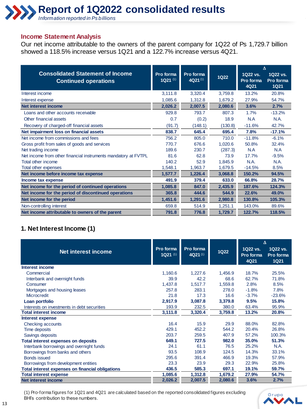#### **Income Statement Analysis**

Our net income attributable to the owners of the parent company for 1Q22 of Ps 1,729.7 billion showed a 118.5% increase versus 1Q21 and a 122.7% increase versus 4Q21.

|                                                                        |                                    |                           |             |                               | Δ                             |
|------------------------------------------------------------------------|------------------------------------|---------------------------|-------------|-------------------------------|-------------------------------|
| <b>Consolidated Statement of Income</b><br><b>Continued operations</b> | Pro forma<br>$1Q21$ <sup>(1)</sup> | Pro forma<br>$4Q21^{(1)}$ | <b>1Q22</b> | 1Q22 vs.<br>Pro forma<br>4Q21 | 1Q22 vs.<br>Pro forma<br>1Q21 |
| Interest income                                                        | 3,111.8                            | 3,320.4                   | 3,759.8     | 13.2%                         | 20.8%                         |
| Interest expense                                                       | 1,085.6                            | 1,312.8                   | 1,679.2     | 27.9%                         | 54.7%                         |
| <b>Net interest income</b>                                             | 2,026.2                            | 2,007.5                   | 2,080.6     | 3.6%                          | 2.7%                          |
| Loans and other accounts receivable                                    | 929.8                              | 793.7                     | 807.3       | 1.7%                          | $-13.2%$                      |
| Other financial assets                                                 | 0.7                                | (0.2)                     | 18.9        | N.A                           | N.A.                          |
| Recovery of charged-off financial assets                               | (91.7)                             | (148.1)                   | (130.8)     | $-11.6%$                      | 42.7%                         |
| Net impairment loss on financial assets                                | 838.7                              | 645.4                     | 695.4       | 7.8%                          | $-17.1%$                      |
| Net income from commissions and fees                                   | 756.2                              | 805.0                     | 710.0       | $-11.8%$                      | $-6.1%$                       |
| Gross profit from sales of goods and services                          | 770.7                              | 676.6                     | 1,020.6     | 50.8%                         | 32.4%                         |
| Net trading income                                                     | 189.6                              | 230.7                     | (287.3)     | N.A                           | N.A                           |
| Net income from other financial instruments mandatory at FVTPL         | 81.6                               | 62.8                      | 73.9        | 17.7%                         | $-9.5%$                       |
| Total other income                                                     | 140.2                              | 52.9                      | 1,845.9     | N.A.                          | <b>N.A.</b>                   |
| Total other expenses                                                   | 1,548.1                            | 1,963.7                   | 1,679.5     | $-14.5%$                      | 8.5%                          |
| Net income before income tax expense                                   | 1,577.7                            | 1,226.4                   | 3,068.8     | 150.2%                        | 94.5%                         |
| Income tax expense                                                     | 491.9                              | 379.4                     | 633.0       | 66.8%                         | 28.7%                         |
| Net income for the period of continued operations                      | 1,085.8                            | 847.0                     | 2,435.9     | 187.6%                        | 124.3%                        |
| Net income for the period of discontinued operations                   | 365.8                              | 444.6                     | 544.9       | 22.6%                         | 49.0%                         |
| Net income for the period                                              | 1.451.6                            | 1.291.6                   | 2.980.8     | 130.8%                        | 105.3%                        |
| Non-controlling interest                                               | 659.8                              | 514.9                     | 1,251.1     | 143.0%                        | 89.6%                         |
| Net income attributable to owners of the parent                        | 791.8                              | 776.8                     | 1,729.7     | 122.7%                        | 118.5%                        |

# **1. Net Interest Income (1)**

|                                                  |                       |                      |             | Δ                             |                                      |
|--------------------------------------------------|-----------------------|----------------------|-------------|-------------------------------|--------------------------------------|
| Net interest income                              | Pro forma<br>1Q21 (1) | Pro forma<br>4Q21(1) | <b>1Q22</b> | 1Q22 vs.<br>Pro forma<br>4Q21 | 1Q22 vs.<br>Pro forma<br><b>1Q21</b> |
| Interest income                                  |                       |                      |             |                               |                                      |
| Commercial                                       | 1,160.6               | 1,227.6              | 1,456.9     | 18.7%                         | 25.5%                                |
| Interbank and overnight funds                    | 39.9                  | 42.2                 | 68.6        | 62.7%                         | 71.8%                                |
| Consumer                                         | 1,437.8               | 1,517.7              | 1,559.8     | 2.8%                          | 8.5%                                 |
| Mortgages and housing leases                     | 257.8                 | 283.1                | 278.0       | $-1.8%$                       | 7.8%                                 |
| Microcredit                                      | 21.8                  | 17.3                 | 16.6        | $-3.7%$                       | $-23.6%$                             |
| Loan portfolio                                   | 2,917.9               | 3,087.8              | 3,379.8     | 9.5%                          | 15.8%                                |
| Interests on investments in debt securities      | 193.9                 | 232.5                | 380.0       | 63.4%                         | 95.9%                                |
| <b>Total interest income</b>                     | 3,111.8               | 3,320.4              | 3,759.8     | 13.2%                         | 20.8%                                |
| Interest expense                                 |                       |                      |             |                               |                                      |
| Checking accounts                                | 16.4                  | 15.9                 | 29.9        | 88.0%                         | 82.8%                                |
| Time deposits                                    | 429.1                 | 452.2                | 544.2       | 20.4%                         | 26.8%                                |
| Savings deposits                                 | 203.7                 | 259.5                | 407.9       | 57.2%                         | 100.3%                               |
| <b>Total interest expenses on deposits</b>       | 649.1                 | 727.5                | 982.0       | 35.0%                         | 51.3%                                |
| Interbank borrowings and overnight funds         | 24.1                  | 61.1                 | 76.5        | 25.2%                         | N.A.                                 |
| Borrowings from banks and others                 | 93.5                  | 108.9                | 124.5       | 14.3%                         | 33.1%                                |
| <b>Bonds issued</b>                              | 295.6                 | 391.4                | 466.9       | 19.3%                         | 57.9%                                |
| Borrowings from development entities             | 23.3                  | 23.9                 | 29.3        | 22.9%                         | 25.8%                                |
| Total interest expenses on financial obligations | 436.5                 | 585.3                | 697.1       | 19.1%                         | 59.7%                                |
| <b>Total interest expense</b>                    | 1,085.6               | 1,312.8              | 1,679.2     | 27.9%                         | 54.7%                                |
| Net interest income                              | 2,026.2               | 2,007.5              | 2,080.6     | 3.6%                          | 2.7%                                 |

(1) Pro-forma figures for 1Q21 and 4Q21 are calculated based on the reported consolidated figures excluding BHI's contribution to these numbers.

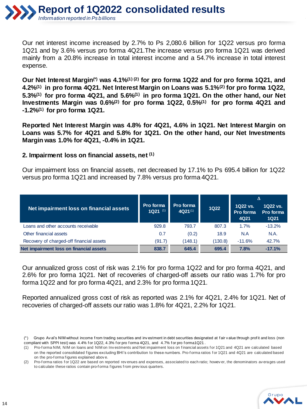

Our net interest income increased by 2.7% to Ps 2,080.6 billion for 1Q22 versus pro forma 1Q21 and by 3.6% versus pro forma 4Q21.The increase versus pro forma 1Q21 was derived mainly from a 20.8% increase in total interest income and a 54.7% increase in total interest expense.

**Our Net Interest Margin(\*) was 4.1%(1) (2) for pro forma 1Q22 and for pro forma 1Q21, and 4.2%(1) in pro forma 4Q21. Net Interest Margin on Loans was 5.1%(2) for pro forma 1Q22, 5.3%(1) for pro forma 4Q21, and 5.6%(1) in pro forma 1Q21. On the other hand, our Net Investments Margin was 0.6%(2) for pro forma 1Q22, 0.5%(1) for pro forma 4Q21 and -1.2%(1) for pro forma 1Q21.**

**Reported Net Interest Margin was 4.8% for 4Q21, 4.6% in 1Q21. Net Interest Margin on Loans was 5.7% for 4Q21 and 5.8% for 1Q21. On the other hand, our Net Investments Margin was 1.0% for 4Q21, -0.4% in 1Q21.**

#### **2. Impairment loss on financial assets, net (1)**

Our impairment loss on financial assets, net decreased by 17.1% to Ps 695.4 billion for 1Q22 versus pro forma 1Q21 and increased by 7.8% versus pro forma 4Q21.

|                                          |                         |                           |             | Δ                             |                                      |
|------------------------------------------|-------------------------|---------------------------|-------------|-------------------------------|--------------------------------------|
| Net impairment loss on financial assets  | Pro forma<br>$1Q21$ (1) | Pro forma<br>$4Q21^{(1)}$ | <b>1Q22</b> | 1Q22 vs.<br>Pro forma<br>4Q21 | 1Q22 vs.<br>Pro forma<br><b>1Q21</b> |
| Loans and other accounts receivable      | 929.8                   | 793.7                     | 807.3       | 1.7%                          | $-13.2%$                             |
| Other financial assets                   | 0.7                     | (0.2)                     | 18.9        | N.A                           | N.A.                                 |
| Recovery of charged-off financial assets | (91.7)                  | (148.1)                   | (130.8)     | $-11.6%$                      | 42.7%                                |
| Net impairment loss on financial assets  | 838.7                   | 645.4                     | 695.4       | 7.8%                          | $-17.1%$                             |

Our annualized gross cost of risk was 2.1% for pro forma 1Q22 and for pro forma 4Q21, and 2.6% for pro forma 1Q21. Net of recoveries of charged-off assets our ratio was 1.7% for pro forma 1Q22 and for pro forma 4Q21, and 2.3% for pro forma 1Q21.

Reported annualized gross cost of risk as reported was 2.1% for 4Q21, 2.4% for 1Q21. Net of recoveries of charged-off assets our ratio was 1.8% for 4Q21, 2.2% for 1Q21.

<sup>(2)</sup> Pro-f orma ratios for 1Q22 are based on reported rev enues and expenses, associated to each ratio; howev er, the denominators av erages used to calculate these ratios contain pro-f orma f igures f rom prev ious quarters.



<sup>(\*)</sup> Grupo Av al's NIM without income f rom trading securities and inv estment in debt securities designated at f air v alue through prof it and loss (non compliant with SPPI test) was 4.4% for 1Q22, 4.3% for pro forma 4Q21, and 4.7% for pro forma1Q21.

<sup>(1)</sup> Pro-f orma NIM, NIM on loans and NIM on Inv estments and Net impairment loss on f inancial assets f or 1Q21 and 4Q21 are calculated based on the reported consolidated figures excluding BHI's contribution to these numbers. Pro-forma ratios for 1Q21 and 4Q21 are calculated based on the pro-f orma f igures explained abov e.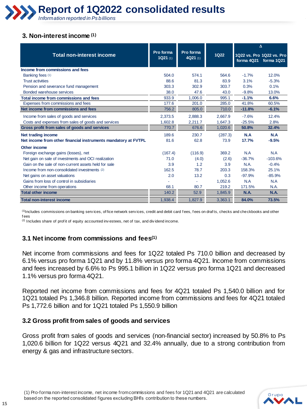

#### **3. Non-interest income (1)**

|                                                                                      |                      |                       |                 |              | Δ                                       |
|--------------------------------------------------------------------------------------|----------------------|-----------------------|-----------------|--------------|-----------------------------------------|
| <b>Total non-interest income</b>                                                     | Pro forma<br>1Q21(1) | Pro forma<br>4Q21 (1) | 1Q22            | forma 4Q21   | 1022 vs. Pro 1022 vs. Pro<br>forma 1Q21 |
| Income from commissions and fees                                                     |                      |                       |                 |              |                                         |
| Banking fees (1)                                                                     | 504.0                | 574.1                 | 564.6           | $-1.7%$      | 12.0%                                   |
| <b>Trust activities</b>                                                              | 88.6                 | 81.3                  | 83.9            | 3.1%         | $-5.3%$                                 |
| Pension and severance fund management                                                | 303.3                | 302.9                 | 303.7           | 0.3%         | 0.1%                                    |
| Bonded warehouse services                                                            | 38.0                 | 47.6                  | 43.0            | $-9.8%$      | 13.0%                                   |
| Total income from commissions and fees                                               | 933.9                | 1.006.0               | 995.1           | $-1.1%$      | 6.6%                                    |
| Expenses from commissions and fees                                                   | 177.6                | 201.0                 | 285.0           | 41.8%        | 60.5%                                   |
| Net income from commissions and fees                                                 | 756.2                | 805.0                 | 710.0           | $-11.8%$     | $-6.1%$                                 |
| Income from sales of goods and services                                              | 2,373.5              | 2,888.3               | 2,667.9         | $-7.6%$      | 12.4%                                   |
| Costs and expenses from sales of goods and services                                  | 1,602.8              | 2,211.7               | 1,647.3         | $-25.5%$     | 2.8%                                    |
| Gross profit from sales of goods and services                                        | 770.7                | 676.6                 | 1.020.6         | 50.8%        | 32.4%                                   |
| Net trading income<br>Net income from other financial instruments mandatory at FVTPL | 189.6<br>81.6        | 230.7<br>62.8         | (287.3)<br>73.9 | N.A<br>17.7% | N.A<br>$-9.5%$                          |
| Other income                                                                         |                      |                       |                 |              |                                         |
| Foreign exchange gains (losses), net                                                 | (167.4)              | (116.9)               | 369.2           | N.A          | N.A                                     |
| Net gain on sale of investments and OCI realization                                  | 71.0                 | (4.0)                 | (2.6)           | $-36.7%$     | $-103.6%$                               |
| Gain on the sale of non-current assets held for sale                                 | 3.9                  | 1.2                   | 3.9             | N.A.         | $-0.4%$                                 |
| Income from non-consolidated investments (2)                                         | 162.5                | 78.7                  | 203.3           | 158.3%       | 25.1%                                   |
| Net gains on asset valuations                                                        | 2.0                  | 13.2                  | 0.3             | $-97.9%$     | $-85.9%$                                |
| Gains from loss of control in subsidiaries                                           |                      |                       | 1,052.6         | N.A          | N.A                                     |
| Other income from operations                                                         | 68.1                 | 80.7                  | 219.2           | 171.5%       | N.A.                                    |
| <b>Total other income</b>                                                            | 140.2                | 52.9                  | 1,845.9         | <b>N.A.</b>  | <b>N.A.</b>                             |
| <b>Total non-interest income</b>                                                     | 1,938.4              | 1,827.9               | 3,363.1         | 84.0%        | 73.5%                                   |

 $<sup>(1)</sup>$ Includes commissions on banking services, of fice network services, credit and debit card fees, fees on drafts, checks and checkbooks and other</sup> f ees

 $(2)$  Includes share of prof it of equity accounted investees, net of tax, and dividend income.

## **3.1 Net income from commissions and fees(1)**

Net income from commissions and fees for 1Q22 totaled Ps 710.0 billion and decreased by 6.1% versus pro forma 1Q21 and by 11.8% versus pro forma 4Q21. Income from commissions and fees increased by 6.6% to Ps 995.1 billion in 1Q22 versus pro forma 1Q21 and decreased 1.1% versus pro forma 4Q21.

Reported net income from commissions and fees for 4Q21 totaled Ps 1,540.0 billion and for 1Q21 totaled Ps 1,346.8 billion. Reported income from commissions and fees for 4Q21 totaled Ps 1,772.6 billion and for 1Q21 totaled Ps 1,550.9 billion

#### **3.2 Gross profit from sales of goods and services**

Gross profit from sales of goods and services (non-financial sector) increased by 50.8% to Ps 1,020.6 billion for 1Q22 versus 4Q21 and 32.4% annually, due to a strong contribution from energy & gas and infrastructure sectors.

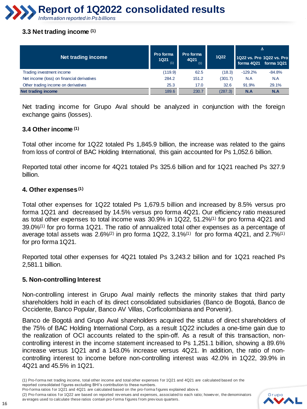

#### **3.3 Net trading income (1)**

| Net trading income                         | Pro forma<br><b>1Q21</b><br>(1) | Pro forma<br>4Q21<br>(1) | <b>1Q22</b> |           | Δ<br>1022 vs. Pro 1022 vs. Pro<br>forma 4Q21 forma 1Q21 |
|--------------------------------------------|---------------------------------|--------------------------|-------------|-----------|---------------------------------------------------------|
| Trading investment income                  | (119.9)                         | 62.5                     | (18.3)      | $-129.2%$ | $-84.8%$                                                |
| Net income (loss) on financial derivatives | 284.2                           | 151.2                    | (301.7)     | N.A       | N.A                                                     |
| Other trading income on derivatives        | 25.3                            | 17.0                     | 32.6        | 91.9%     | 29.1%                                                   |
| Net trading income                         | 189.6                           | 230.7                    | (287.3)     | N.A       | N.A                                                     |

Net trading income for Grupo Aval should be analyzed in conjunction with the foreign exchange gains (losses).

#### **3.4 Other income (1)**

Total other income for 1Q22 totaled Ps 1,845.9 billion, the increase was related to the gains from loss of control of BAC Holding International, this gain accounted for Ps 1,052.6 billion.

Reported total other income for 4Q21 totaled Ps 325.6 billion and for 1Q21 reached Ps 327.9 billion.

#### **4. Other expenses(1)**

Total other expenses for 1Q22 totaled Ps 1,679.5 billion and increased by 8.5% versus pro forma 1Q21 and decreased by 14.5% versus pro forma 4Q21. Our efficiency ratio measured as total other expenses to total income was 30.9% in 1Q22, 51.2%(1) for pro forma 4Q21 and 39.0%(1) for pro forma 1Q21. The ratio of annualized total other expenses as a percentage of average total assets was 2.6% $(2)$  in pro forma 1Q22, 3.1% $(1)$  for pro forma 4Q21, and 2.7% $(1)$ for pro forma 1Q21.

Reported total other expenses for 4Q21 totaled Ps 3,243.2 billion and for 1Q21 reached Ps 2,581.1 billion.

#### **5. Non-controlling Interest**

Non-controlling interest in Grupo Aval mainly reflects the minority stakes that third party shareholders hold in each of its direct consolidated subsidiaries (Banco de Bogotá, Banco de Occidente, Banco Popular, Banco AV Villas, Corficolombiana and Porvenir).

Banco de Bogotá and Grupo Aval shareholders acquired the status of direct shareholders of the 75% of BAC Holding International Corp, as a result 1Q22 includes a one-time gain due to the realization of OCI accounts related to the spin-off. As a result of this transaction, noncontrolling interest in the income statement increased to Ps 1,251.1 billion, showing a 89.6% increase versus 1Q21 and a 143.0% increase versus 4Q21. In addition, the ratio of noncontrolling interest to income before non-controlling interest was 42.0% in 1Q22, 39.9% in 4Q21 and 45.5% in 1Q21.

- Pro-f orma ratios for 1Q21 and 4Q21 are calculated based on the pro-f orma figures explained above.
- (2) Pro-f orma ratios for 1Q22 are based on reported rev enues and expenses, associated to each ratio; howev er, the denominators av erages used to calculate these ratios contain pro-f orma f igures f rom prev ious quarters.



<sup>(1)</sup> Pro-f orma net trading income, total other income and total other expenses f or 1Q21 and 4Q21 are calculated based on the reported consolidated f igures excluding BHI's contribution to these numbers.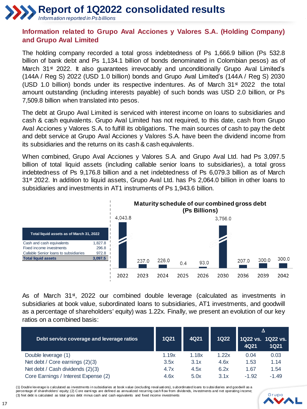

# **Information related to Grupo Aval Acciones y Valores S.A. (Holding Company) and Grupo Aval Limited**

The holding company recorded a total gross indebtedness of Ps 1,666.9 billion (Ps 532.8 billion of bank debt and Ps 1,134.1 billion of bonds denominated in Colombian pesos) as of March  $31<sup>st</sup>$  2022. It also guarantees irrevocably and unconditionally Grupo Aval Limited's (144A / Reg S) 2022 (USD 1.0 billion) bonds and Grupo Aval Limited's (144A / Reg S) 2030 (USD 1.0 billion) bonds under its respective indentures. As of March  $31<sup>st</sup> 2022$  the total amount outstanding (including interests payable) of such bonds was USD 2.0 billion, or Ps 7,509.8 billion when translated into pesos.

The debt at Grupo Aval Limited is serviced with interest income on loans to subsidiaries and cash & cash equivalents. Grupo Aval Limited has not required, to this date, cash from Grupo Aval Acciones y Valores S.A. to fulfill its obligations. The main sources of cash to pay the debt and debt service at Grupo Aval Acciones y Valores S.A. have been the dividend income from its subsidiaries and the returns on its cash & cash equivalents.

When combined, Grupo Aval Acciones y Valores S.A. and Grupo Aval Ltd. had Ps 3,097.5 billion of total liquid assets (including callable senior loans to subsidiaries), a total gross indebtedness of Ps 9,176.8 billion and a net indebtedness of Ps 6,079.3 billion as of March  $31<sup>st</sup>$  2022. In addition to liquid assets, Grupo Aval Ltd. has Ps 2,064.0 billion in other loans to subsidiaries and investments in AT1 instruments of Ps 1,943.6 billion.



As of March 31<sup>st</sup>, 2022 our combined double leverage (calculated as investments in subsidiaries at book value, subordinated loans to subsidiaries, AT1 investments, and goodwill as a percentage of shareholders' equity) was 1.22x. Finally, we present an evolution of our key ratios on a combined basis:

| Debt service coverage and leverage ratios | <b>1Q21</b> | 4Q21  | <b>1Q22</b> | 4Q21    | Δ<br>1Q22 vs. 1Q22 vs.<br><b>1Q21</b> |
|-------------------------------------------|-------------|-------|-------------|---------|---------------------------------------|
| Double leverage (1)                       | 1.19x       | 1.18x | 1.22x       | 0.04    | 0.03                                  |
| Net debt / Core earnings (2)(3)           | 3.5x        | 3.1x  | 4.6x        | 1.53    | 1.14                                  |
| Net debt / Cash dividends (2)(3)          | 4.7x        | 4.5x  | 6.2x        | 1.67    | 1.54                                  |
| Core Earnings / Interest Expense (2)      | 4.6x        | 5.0x  | 3.1x        | $-1.92$ | $-1.49$                               |

(1) Double leverage is calculated as investments in subsidiaries at book value (excluding reval uations), subordinated loans to subsidiaries and goodwill as a percentage of shareholders' equity; (2) C ore earnings are defined as annualized recurring cash flow from dividends, investments and net operating income; (3) Net debt is calculated as total gross debt minus cash and cash equivalents and fixed income investments

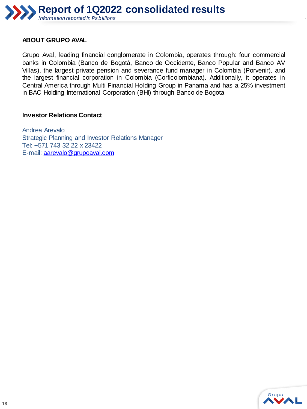

#### **ABOUT GRUPO AVAL**

Grupo Aval, leading financial conglomerate in Colombia, operates through: four commercial banks in Colombia (Banco de Bogotá, Banco de Occidente, Banco Popular and Banco AV Villas), the largest private pension and severance fund manager in Colombia (Porvenir), and the largest financial corporation in Colombia (Corficolombiana). Additionally, it operates in Central America through Multi Financial Holding Group in Panama and has a 25% investment in BAC Holding International Corporation (BHI) through Banco de Bogota

#### **Investor Relations Contact**

Andrea Arevalo Strategic Planning and Investor Relations Manager Tel: +571 743 32 22 x 23422 E-mail: [aarevalo@grupoaval.com](mailto:asanchez@grupoaval.com)

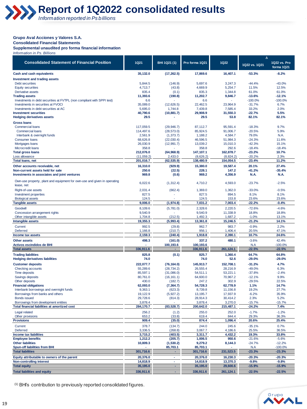

#### **Grupo Aval Acciones y Valores S.A.**

**Consolidated Financial Statements** 

**Supplemental unaudited pro forma financial information**

*Information in Ps. Billions* 

| <b>Consolidated Statement of Financial Position</b>                                    | <b>1Q21</b>             | BHI 1Q21 (1)           | Pro forma 1Q21         | 1Q22                   | Δ<br>1Q22 vs. 1Q21   | 1Q22 vs. Pro          |
|----------------------------------------------------------------------------------------|-------------------------|------------------------|------------------------|------------------------|----------------------|-----------------------|
| Cash and cash equivalents                                                              | 35.132.0                | (17, 262.5)            | 17,869.6               | 16,407.1               | $-53.3%$             | forma 1Q21<br>$-8.2%$ |
|                                                                                        |                         |                        |                        |                        |                      |                       |
| <b>Investment and trading assets</b><br>Debt securities                                | 5,844.5                 | (146.9)                | 5,697.6                | 3,247.3                | $-44.4%$             | $-43.0%$              |
| <b>Equity securities</b>                                                               | 4,713.7                 | (43.8)                 | 4,669.9                | 5,254.7                | 11.5%                | 12.5%                 |
| Derivative assets                                                                      | 835.4                   | (0.1)                  | 835.3                  | 1,344.8                | 61.0%                | 61.0%                 |
| <b>Trading assets</b>                                                                  | 11,393.6                | (190.8)                | 11,202.7               | 9,846.7                | $-13.6%$             | $-12.1%$              |
| Investments in debt securities at FVTPL (non compliant with SPPI test)                 | 6.6                     |                        | 6.6                    |                        | $-100.0%$            | $-100.0%$             |
| Investments in securities at FVOCI                                                     | 35,089.0                | (12,626.5)             | 22,462.5               | 23,964.9               | $-31.7%$             | 6.7%                  |
| Investments in debt securities at AC                                                   | 5,695.0                 | 1,744.8                | 7,439.8                | 7,585.4                | 33.2%                | 2.0%                  |
| <b>Investment securities</b><br><b>Hedging derivatives assets</b>                      | 40,790.6<br>29.5        | (10, 881.7)            | 29,908.9<br>29.5       | 31,550.3<br>53.8       | $-22.7%$<br>82.1%    | 5.5%<br>82.1%         |
| <b>Gross loans</b>                                                                     |                         |                        |                        |                        |                      |                       |
| <b>Commercial loans</b>                                                                | 117,059.5               | (29, 946.7)            | 87,112.7               | 95,591.4               | $-18.3%$             | 9.7%                  |
| <b>Commercial loans</b>                                                                | 114,497.6               | (28, 573.0)            | 85,924.5               | 91,006.7               | $-20.5%$             | 5.9%                  |
| Interbank & overnight funds                                                            | 2,561.9                 | (1, 373.7)             | 1,188.2                | 4,584.7                | 79.0%                | N.A.                  |
| <b>Consumer loans</b>                                                                  | 68,626.8                | (22,030.4)             | 46,596.5               | 51,984.3               | $-24.3%$             | 11.6%                 |
| Mortgages loans                                                                        | 26,030.9                | (12, 991.7)            | 13,039.2               | 15,010.3               | $-42.3%$             | 15.1%                 |
| Microcredit loans                                                                      | 358.8                   |                        | 358.8                  | 292.6                  | $-18.4%$             | $-18.4%$              |
| <b>Total gross loans</b>                                                               | 212,076.0               | (64,968.9)             | 147,107.1              | 162,878.7              | $-23.2%$             | 10.7%                 |
| Loss allowance<br><b>Total loans, net</b>                                              | (11,059.2)<br>201,016.7 | 2,433.0<br>(62, 535.9) | (8,626.2)<br>138,480.9 | (8,824.2)<br>154,054.5 | $-20.2%$<br>$-23.4%$ | 2.3%<br>11.2%         |
|                                                                                        |                         |                        |                        |                        |                      |                       |
| Other accounts receivable, net                                                         | 16,310.0<br>250.6       | (929.9)                | 15,380.0<br>228.1      | 19,587.4<br>147.2      | 20.1%<br>$-41.2%$    | 27.4%<br>$-35.4%$     |
| Non-current assets held for sale<br>Investments in associates and joint ventures       | 969.8                   | (22.5)<br>(0.6)        | 969.2                  | 4,356.9                | N.A.                 | N.A.                  |
|                                                                                        |                         |                        |                        |                        |                      |                       |
| Own-use property, plant and equipment for own-use and given in operating<br>lease, net | 6,022.6                 | (1,312.4)              | 4,710.2                | 4,593.0                | $-23.7%$             | $-2.5%$               |
| Right-of-use assets                                                                    | 2,031.4                 | (662.4)                | 1,369.0                | 1,362.0                | $-33.0%$             | $-0.5%$               |
| Investment properties                                                                  | 827.5                   |                        | 827.5                  | 894.5                  | 8.1%                 | 8.1%                  |
| <b>Biological assets</b>                                                               | 124.5                   |                        | 124.5                  | 153.8                  | 23.6%                | 23.6%                 |
| <b>Tangible assets</b>                                                                 | 9,006.0                 | (1,974.8)              | 7,031.2                | 7,003.4                | $-22.2%$             | $-0.4%$               |
| Goodwill                                                                               | 8,109.6                 | (5,781.0)              | 2,328.6                | 2,220.5                | $-72.6%$             | $-4.6%$               |
| Concession arrangement rights                                                          | 9,540.9                 |                        | 9,540.9                | 11,338.9               | 18.8%                | 18.8%                 |
| Other intangible assets<br>Intangible assets                                           | 1,704.8<br>19,355.3     | (212.5)<br>(5,993.4)   | 1,492.3<br>13,361.8    | 1,687.2<br>15,246.5    | $-1.0%$<br>$-21.2%$  | 13.1%<br>14.1%        |
|                                                                                        | 992.5                   |                        |                        |                        |                      | 2.2%                  |
| Current<br><b>Deferred</b>                                                             | 1,166.8                 | (29.8)<br>(210.7)      | 962.7<br>956.1         | 983.7<br>1,406.4       | $-0.9%$<br>20.5%     | 47.1%                 |
| Income tax assets                                                                      | 2,159.3                 | (240.4)                | 1,918.8                | 2,390.1                | 10.7%                | 24.6%                 |
| <b>Other assets</b>                                                                    | 498.3                   | (161.0)                | 337.2                  | 480.1                  | $-3.6%$              | 42.4%                 |
| <b>Activos escindidos de BHI</b>                                                       |                         | 100,193.6              | 100,193.6              |                        | N.A                  | $-100.0%$             |
| <b>Total assets</b>                                                                    | 336,911.6               | ×.                     | 336,911.6              | 261,124.1              | $-22.5%$             | $-22.5%$              |
| <b>Trading liabilities</b>                                                             | 825.8                   | (0.1)                  | 825.7                  | 1,360.4                | 64.7%                | 64.8%                 |
| <b>Hedging derivatives liabilities</b>                                                 | 74.0                    |                        | 74.0                   | 52.6                   | $-29.0%$             | $-29.0%$              |
| <b>Customer deposits</b>                                                               | 222,077.7               | (76, 164.0)            | 145,913.7              | 152,708.1              | $-31.2%$             | 4.7%                  |
| Checking accounts                                                                      | 55,289.6                | (28, 734.2)            | 26,555.4               | 28,216.9               | $-49.0%$             | 6.3%                  |
| Time deposits                                                                          | 85,597.1                | (31,086.0)             | 54,511.1               | 53,221.1               | $-37.8%$             | $-2.4%$               |
| Savings deposits                                                                       | 80,761.0                | (16, 161.1)            | 64,600.0               | 70.967.2               | $-12.1%$             | 9.9%                  |
| Other deposits                                                                         | 430.0                   | (182.7)                | 247.2                  | 302.9                  | $-29.5%$             | 22.5%                 |
| <b>Financial obligations</b>                                                           | 62,093.0                | (7, 364.7)             | 54,728.3               | 62,778.9               | 1.1%                 | 14.7%                 |
| Interbank borrowings and overnight funds                                               | 9,363.1                 | (623.3)                | 8,739.8                | 11,156.8               | 19.2%                | 27.7%<br>35.9%        |
| Borrowings from banks and others<br><b>Bonds issued</b>                                | 19,122.9<br>29,728.6    | (5,927.2)<br>(814.3)   | 13,195.7<br>28,914.3   | 17,937.9<br>30,414.2   | $-6.2%$<br>2.3%      | 5.2%                  |
| Borrowings from development entities                                                   | 3,878.4                 |                        | 3,878.4                | 3,270.0                | $-15.7%$             | $-15.7%$              |
| Total financial liabilities at amortized cost                                          | 284,170.7               | (83, 528.7)            | 200,642.0              | 215,487.1              | $-24.2%$             | 7.4%                  |
| Legal related                                                                          | 256.2                   | (1.2)                  | 255.0                  | 252.0                  | $-1.7%$              | $-1.2%$               |
| Other provisions                                                                       | 653.2                   | (33.8)                 | 619.4                  | 844.4                  | 29.3%                | 36.3%                 |
| <b>Provisions</b>                                                                      | 909.4                   | (35.0)                 | 874.4                  | 1,096.4                | 20.6%                | 25.4%                 |
| Current                                                                                | 378.7                   | (134.7)                | 244.0                  | 245.6                  | $-35.1%$             | 0.7%                  |
| Deferred                                                                               | 3,336.5                 | (268.8)                | 3,067.7                | 4,186.6                | 25.5%                | 36.5%                 |
| Income tax liabilities                                                                 | 3,715.2                 | (403.5)                | 3,311.7                | 4,432.2                | 19.3%                | 33.8%                 |
| <b>Employee benefits</b>                                                               | 1,212.2                 | (205.7)                | 1,006.5                | 950.6                  | $-21.6%$             | $-5.6%$               |
| <b>Other liabilities</b>                                                               | 10,809.3                | (1,530.2)              | 9,279.2                | 8,144.3                | $-24.7%$             | $-12.2%$              |
| <b>Spun-off liabilities from BHI</b>                                                   |                         | 85,703.1               | 85,703.1               |                        | N.A                  | $-100.0%$             |
| <b>Total liabilities</b>                                                               | 301,716.6               | ÷                      | 301,716.6              | 231,523.5              | $-23.3%$             | $-23.3%$              |
| Equity attributable to owners of the parent                                            | 20,376.0                | ÷                      | 20,376.0               | 16,230.3               | $-20.3%$             | $-20.3%$              |
| <b>Non-controlling interest</b>                                                        | 14,818.9                | $\mathbf{r}$           | 14,818.9               | 13,370.3               | $-9.8%$              | $-9.8%$               |
| <b>Total equity</b>                                                                    | 35,195.0                | ÷                      | 35,195.0               | 29,600.6               | $-15.9%$             | $-15.9%$              |
| <b>Total liabilities and equity</b>                                                    | 336,911.6               | ÷.                     | 336,911.6              | 261,124.1              | $-22.5%$             | $-22.5%$              |



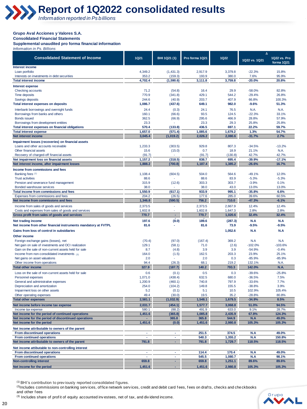

#### **Grupo Aval Acciones y Valores S.A.**

**Consolidated Financial Statements** 

**Supplemental unaudited pro forma financial information** *Information in Ps. Billions*

|                                                                              |                                         |                      |                  |                  | Δ                    |                            |
|------------------------------------------------------------------------------|-----------------------------------------|----------------------|------------------|------------------|----------------------|----------------------------|
| <b>Consolidated Statement of Income</b>                                      | <b>1Q21</b>                             | BHI 1Q21 (1)         | Pro forma 1Q21   | <b>1Q22</b>      | 1Q22 vs. 1Q21        | 1Q22 vs. Pro<br>forma 1Q21 |
| Interest income                                                              |                                         |                      |                  |                  |                      |                            |
| Loan portfolio                                                               | 4,349.2                                 | (1,431.3)            | 2,917.9          | 3,379.8          | $-22.3%$             | 15.8%                      |
| Interests on investments in debt securities                                  | 353.2                                   | (159.3)              | 193.9            | 380.0            | 7.6%                 | 95.9%                      |
| <b>Total interest income</b>                                                 | 4,702.4                                 | (1,590.6)            | 3,111.8          | 3,759.8          | $-20.0%$             | 20.8%                      |
| <b>Interest expense</b>                                                      |                                         |                      |                  |                  |                      |                            |
| Checking accounts                                                            | 71.2                                    | (54.8)               | 16.4             | 29.9             | $-58.0%$             | 82.8%                      |
| Time deposits                                                                | 770.9                                   | (341.8)              | 429.1            | 544.2            | $-29.4%$             | 26.8%                      |
| Savings deposits                                                             | 244.6                                   | (40.9)               | 203.7            | 407.9            | 66.8%                | 100.3%                     |
| <b>Total interest expenses on deposits</b>                                   | 1,086.7                                 | (437.6)              | 649.1            | 982.0            | $-9.6%$              | 51.3%                      |
| Interbank borrowings and overnight funds                                     | 24.4                                    | (0.3)                | 24.1             | 76.5             | N.A.                 | N.A.                       |
| Borrowings from banks and others                                             | 160.1                                   | (66.6)               | 93.5             | 124.5            | $-22.3%$             | 33.1%                      |
| <b>Bonds issued</b>                                                          | 362.5                                   | (66.9)               | 295.6            | 466.9            | 28.8%                | 57.9%                      |
| Borrowings from development entities                                         | 23.3                                    |                      | 23.3             | 29.3             | 25.8%                | 25.8%                      |
| <b>Total interest expenses on financial obligations</b>                      | 570.4                                   | (133.8)              | 436.5            | 697.1            | 22.2%                | 59.7%                      |
| <b>Total interest expense</b>                                                | 1,657.0                                 | (571.4)              | 1,085.6          | 1.679.2          | 1.3%                 | 54.7%                      |
| Net interest income                                                          | 3,045.4                                 | (1,019.2)            | 2,026.2          | 2,080.6          | $-31.7%$             | 2.7%                       |
| Impairment losses (recoveries) on financial assets                           |                                         |                      |                  |                  |                      |                            |
| Loans and other accounts receivable                                          | 1,233.3                                 | (303.5)              | 929.8            | 807.3            | $-34.5%$             | $-13.2%$                   |
| Other financial assets                                                       | 15.6                                    | (15.0)               | 0.7              | 18.9             | 21.1%                | N.A.                       |
| Recovery of charged-off financial assets                                     | (91.7)                                  |                      | (91.7)           | (130.8)          | 42.7%                | 42.7%                      |
| Net impairment loss on financial assets                                      | 1,157.2                                 | (318.5)              | 838.7            | 695.4<br>1.385.2 | $-39.9%$             | $-17.1%$                   |
| Net interest income, after impairment losses                                 | 1,888.2                                 | (700.8)              | 1,187.4          |                  | $-26.6%$             | 16.7%                      |
| Income from commissions and fees                                             |                                         |                      |                  |                  |                      |                            |
| Banking fees (2)                                                             | 1,108.4                                 | (604.5)              | 504.0            | 564.6            | $-49.1%$             | 12.0%                      |
| <b>Trust activities</b>                                                      | 88.6                                    |                      | 88.6             | 83.9             | $-5.3%$              | $-5.3%$                    |
| Pension and severance fund management                                        | 315.9                                   | (12.6)               | 303.3            | 303.7            | $-3.9%$              | 0.1%                       |
| Bonded warehouse services                                                    | 38.0<br>1,550.9                         | (617.1)              | 38.0<br>933.9    | 43.0<br>995.1    | 13.0%<br>$-35.8%$    | 13.0%<br>6.6%              |
| Total income from commissions and fees<br>Expenses from commissions and fees | 204.2                                   | (26.5)               | 177.6            | 285.0            | 39.6%                | 60.5%                      |
| Net income from commissions and fees                                         | 1,346.8                                 | (590.5)              | 756.2            | 710.0            | $-47.3%$             | $-6.1%$                    |
|                                                                              |                                         |                      |                  |                  |                      |                            |
| Income from sales of goods and services                                      | 2,373.5                                 |                      | 2,373.5          | 2,667.9          | 12.4%                | 12.4%                      |
| Costs and expenses from sales of goods and services                          | 1,602.8                                 | ×.                   | 1,602.8          | 1,647.3          | 2.8%<br>32.4%        | 2.8%<br>32.4%              |
| Gross profit from sales of goods and services                                | 770.7                                   |                      | 770.7            | 1,020.6          |                      |                            |
| Net trading income                                                           | 197.6                                   | (8.0)                | 189.6            | (287.3)          | N.A                  | N.A                        |
| Net income from other financial instruments mandatory at FVTPL               | 81.6                                    |                      | 81.6             | 73.9             | $-9.5%$              | $-9.5%$                    |
| Gains from loss of control in subsidiaries                                   |                                         |                      |                  | 1,052.6          | N.A                  | N.A                        |
| Other income                                                                 |                                         |                      |                  |                  |                      |                            |
| Foreign exchange gains (losses), net                                         | (70.4)                                  | (97.0)               | (167.4)          | 369.2            | N.A                  | N.A                        |
| Net gain on sale of investments and OCI realization                          | 129.1                                   | (58.1)               | 71.0             | (2.6)            | $-102.0%$            | $-103.6%$                  |
| Gain on the sale of non-current assets held for sale                         | 8.7                                     | (4.8)                | 3.9              | 3.9              | $-54.9%$             | $-0.4%$                    |
| Income from non-consolidated investments (3)                                 | 164.0                                   | (1.5)                | 162.5            | 203.3            | 23.9%                | 25.1%                      |
| Net gains on asset valuations                                                | 2.0                                     |                      | 2.0              | 0.3              | $-85.9%$             | $-85.9%$                   |
| Other income from operations                                                 | 94.4                                    | (26.3)               | 68.1             | 219.2            | 132.1%               | N.A.                       |
| <b>Total other income</b>                                                    | 327.9                                   | (187.7)              | 140.2            | 793.3            | 142.0%               | N.A.                       |
| Loss on the sale of non-current assets held for sale                         | 0.6                                     | (0.1)                | 0.5              | 0.3              | $-39.6%$             | $-25.8%$                   |
| Personnel expenses                                                           | 1,071.0                                 | (438.4)              | 632.5            | 680.0            | $-36.5%$             | 7.5%                       |
| General and administrative expenses                                          | 1,200.9                                 | (460.1)              | 740.8            | 797.9            | $-33.6%$             | 7.7%                       |
| Depreciation and amortization                                                | 254.0                                   | (104.2)              | 149.8            | 155.5            | $-38.8%$             | 3.9%                       |
| Impairment loss on other assets<br>Other operating expenses                  | 5.2<br>49.4                             | (0.1)                | 5.1<br>19.5      | 10.5<br>35.2     | 102.9%               | 105.4%<br>80.8%            |
| <b>Total other expenses</b>                                                  | 2,581.1                                 | (30.0)<br>(1,032.9)  | 1,548.1          | 1,679.5          | $-28.8%$<br>$-34.9%$ | 8.5%                       |
|                                                                              |                                         |                      |                  |                  |                      |                            |
| Net income before income tax expense                                         | 2,031.7<br>580.1                        | (454.1)              | 1,577.7<br>491.9 | 3,068.8          | 51.0%<br>9.1%        | 94.5%                      |
| Income tax expense<br>Net income for the period of continued operations      | 1,451.6                                 | (88.2)<br>(365.8)    | 1,085.8          | 633.0<br>2,435.9 | 67.8%                | 28.7%<br>124.3%            |
| Net income for the period of discontinued operations                         |                                         | 365.8                | 365.8            | 544.9            | N.A                  | 49.0%                      |
| Net income for the period                                                    | 1,451.6                                 | (0.0)                | 1,451.6          | 2,980.8          | 105.3%               | 105.3%                     |
|                                                                              |                                         |                      |                  |                  |                      |                            |
| Net income attributable to owners of the parent                              |                                         |                      |                  |                  |                      |                            |
| From discontinued operations                                                 | $\blacksquare$<br>$\tilde{\phantom{a}}$ | $\blacksquare$       | 251.5            | 374.5            | N.A                  | 49.0%                      |
| From continued operations<br>Net income attributable to owners of the parent | 791.8                                   | $\blacksquare$<br>×. | 540.3<br>791.8   | 1,355.2          | N.A<br>118.5%        | 150.8%<br>118.5%           |
|                                                                              |                                         |                      |                  | 1,729.7          |                      |                            |
| Net income attibutable to non-controlling interest                           |                                         |                      |                  |                  |                      |                            |
| From discontinued operations                                                 | ÷,                                      | $\blacksquare$       | 114.4            | 170.4            | N.A                  | 49.0%                      |
| From continued operations                                                    | ×,                                      | $\sim$               | 545.5            | 1,080.7          | N.A                  | 98.1%                      |
| <b>Non-controlling interest</b>                                              | 659.8                                   | ×                    | 659.8            | 1,251.1          | 89.6%                | 89.6%                      |
| Net income for the period                                                    | 1,451.6                                 | $\sim$               | 1,451.6          | 2,980.8          | 105.3%               | 105.3%                     |

(1) BHI's contribution to prev iously reported consolidated f igures.

(2)Includes commissions on banking services, of fice network services, credit and debit card fees, fees on drafts, checks and checkbooks and other f ees

(3) Includes share of prof it of equity accounted investees, net of tax, and dividend income.

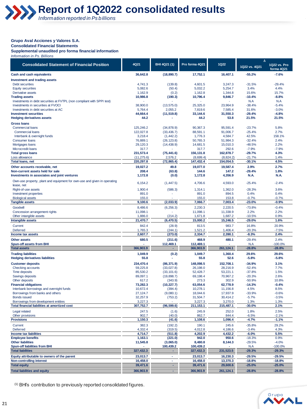#### **Grupo Aval Acciones y Valores S.A.**

**Consolidated Financial Statements** 

**Supplemental unaudited pro forma financial information** *Information in Ps. Billions* 

|                                                                                                              |                      |                        |                      | Δ                    |                      |                            |
|--------------------------------------------------------------------------------------------------------------|----------------------|------------------------|----------------------|----------------------|----------------------|----------------------------|
| <b>Consolidated Statement of Financial Position</b>                                                          | 4Q21                 | BHI 4Q21 (1)           | Pro forma 4Q21       | <b>1Q22</b>          | 1Q22 vs. 4Q21        | 1Q22 vs. Pro<br>forma 4Q21 |
| <b>Cash and cash equivalents</b>                                                                             | 36,642.8             | (18, 890.7)            | 17,752.1             | 16,407.1             | $-55.2%$             | $-7.6%$                    |
| <b>Investment and trading assets</b>                                                                         |                      |                        |                      |                      |                      |                            |
| Debt securities                                                                                              | 4,741.3              | (139.8)                | 4,601.5              | 3,247.3              | $-31.5%$             | $-29.4%$                   |
| <b>Equity securities</b>                                                                                     | 5,082.6              | (50.4)                 | 5,032.2              | 5.254.7              | 3.4%                 | 4.4%                       |
| Derivative assets                                                                                            | 1,162.9              | (0.2)                  | 1,162.8              | 1,344.8              | 15.6%                | 15.7%                      |
| <b>Trading assets</b>                                                                                        | 10,986.8             | (190.3)                | 10,796.4             | 9,846.7              | $-10.4%$             | $-8.8%$                    |
| Investments in debt securities at FVTPL (non compliant with SPPI test)<br>Investments in securities at FVOCI |                      |                        |                      |                      | N.A<br>$-38.4%$      | N.A                        |
| Investments in debt securities at AC                                                                         | 38,900.0<br>5,764.4  | (13, 575.0)<br>2,055.2 | 25,325.0<br>7,819.6  | 23,964.9<br>7,585.4  | 31.6%                | $-5.4%$<br>$-3.0%$         |
| <b>Investment securities</b>                                                                                 | 44,664.4             | (11, 519.8)            | 33,144.6             | 31,550.3             | $-29.4%$             | $-4.8%$                    |
| <b>Hedging derivatives assets</b>                                                                            | 44.2                 |                        | 44.2                 | 53.8                 | 21.5%                | 21.5%                      |
| <b>Gross loans</b>                                                                                           |                      |                        |                      |                      |                      |                            |
| <b>Commercial loans</b>                                                                                      | 125.246.2            | (34, 878.9)            | 90.367.3             | 95,591.4             | $-23.7%$             | 5.8%                       |
| <b>Commercial loans</b>                                                                                      | 122,027.8            | (33, 436.7)            | 88,591.1             | 91,006.7             | $-25.4%$             | 2.7%                       |
| Interbank & overnight funds                                                                                  | 3,218.4              | (1,442.2)              | 1,776.3              | 4,584.7              | 42.5%                | 158.1%                     |
| <b>Consumer loans</b>                                                                                        | 76,889.1             | (26, 123.8)            | 50,765.3             | 51,984.3             | $-32.4%$             | 2.4%                       |
| Mortgages loans                                                                                              | 29,120.3             | (14, 438.9)            | 14,681.5             | 15,010.3             | $-48.5%$             | 2.2%                       |
| Microcredit loans                                                                                            | 317.7                |                        | 317.7                | 292.6                | $-7.9%$              | $-7.9%$                    |
| <b>Total gross loans</b>                                                                                     | 231,573.4            | (75, 441.6)            | 156,131.8            | 162,878.7            | $-29.7%$             | 4.3%                       |
| Loss allowance                                                                                               | (11, 275.6)          | 2,576.2                | (8,699.4)            | (8,824.2)            | $-21.7%$             | 1.4%                       |
| <b>Total loans, net</b>                                                                                      | 220, 297.8           | (72, 865.4)            | 147,432.4            | 154,054.5            | $-30.1%$             | 4.5%                       |
| Other accounts receivable, net                                                                               | 19,027.2             | 49.8                   | 19,077.0             | 19,587.4             | 2.9%                 | 2.7%                       |
| Non-current assets held for sale                                                                             | 208.4                | (63.8)                 | 144.6                | 147.2                | $-29.4%$             | 1.8%                       |
| <b>Investments in associates and joint ventures</b>                                                          | 1,172.8              | (0.0)                  | 1,172.8              | 4,356.9              | N.A.                 | N.A.                       |
| Own-use property, plant and equipment for own-use and given in operating                                     | 6,154.2              | (1, 447.5)             | 4,706.6              | 4,593.0              | $-25.4%$             | $-2.4%$                    |
| lease, net                                                                                                   |                      |                        |                      |                      |                      |                            |
| Right-of-use assets                                                                                          | 1.900.4              | (586.3)                | 1,314.1              | 1,362.0              | $-28.3%$             | 3.6%                       |
| Investment properties                                                                                        | 891.0                |                        | 891.0                | 894.5                | 0.4%                 | 0.4%                       |
| <b>Biological assets</b>                                                                                     | 155.0<br>9,100.6     | (2,033.9)              | 155.0                | 153.8<br>7,003.4     | $-0.7%$<br>$-23.0%$  | $-0.7%$<br>$-0.9%$         |
| <b>Tangible assets</b>                                                                                       |                      |                        | 7,066.7              |                      |                      |                            |
| Goodwill                                                                                                     | 8,486.6              | (6, 256.3)             | 2,230.3              | 2,220.5              | $-73.8%$             | $-0.4%$                    |
| Concession arrangement rights                                                                                | 11,098.1             |                        | 11,098.1             | 11,338.9             | 2.2%                 | 2.2%                       |
| Other intangible assets<br>Intangible assets                                                                 | 1,886.0<br>21,470.7  | (214.2)<br>(6,470.5)   | 1,671.8<br>15,000.2  | 1,687.2<br>15,246.5  | $-10.5%$<br>$-29.0%$ | 0.9%<br>1.6%               |
|                                                                                                              |                      |                        |                      |                      |                      |                            |
| Current<br><b>Deferred</b>                                                                                   | 842.4<br>1,765.3     | (28.9)<br>(244.1)      | 813.5<br>1,521.2     | 983.7<br>1,406.4     | 16.8%<br>$-20.3%$    | 20.9%<br>$-7.5%$           |
| Income tax assets                                                                                            | 2,607.7              | (273.0)                | 2,334.7              | 2,390.1              | $-8.3%$              | 2.4%                       |
| <b>Other assets</b>                                                                                          | 680.5                | (211.6)                | 468.9                | 480.1                | $-29.4%$             | 2.4%                       |
| Spun-off assets from BHI                                                                                     |                      | 112,469.1              | 112,469.1            |                      | N.A                  | $-100.0%$                  |
| <b>Total assets</b>                                                                                          | 366,903.9            | ÷                      | 366,903.9            | 261,124.1            | $-28.8%$             | $-28.8%$                   |
| <b>Trading liabilities</b>                                                                                   | 1,049.9              | (0.2)                  | 1,049.7              | 1,360.4              | 29.6%                | 29.6%                      |
| <b>Hedging derivatives liabilities</b>                                                                       | 55.8                 |                        | 55.8                 | 52.6                 | $-5.8%$              | $-5.8%$                    |
| <b>Customer deposits</b>                                                                                     | 234,470.4            | (86, 371.9)            | 148,098.5            | 152,708.1            | $-34.9%$             | 3.1%                       |
| Checking accounts                                                                                            | 59,225.8             | (33,027.8)             | 26,198.0             | 28,216.9             | $-52.4%$             | 7.7%                       |
| Time deposits                                                                                                | 85,530.2             | (33, 101.6)            | 52,428.7             | 53,221.1             | $-37.8%$             | 1.5%                       |
| Savings deposits                                                                                             | 89,097.1             | (19,898.7)             | 69,198.4             | 70,967.2             | $-20.3%$             | 2.6%                       |
| Other deposits                                                                                               | 617.2                | (343.9)                | 273.3                | 302.9                | $-50.9%$             | 10.8%                      |
| <b>Financial obligations</b>                                                                                 | 73,282.3             | (10, 227.7)            | 63,054.6             | 62,778.9             | $-14.3%$             | $-0.4%$                    |
| Interbank borrowings and overnight funds                                                                     | 10.672.4             | (394.4)                | 10,278.1             | 11,156.8             | 4.5%                 | 8.5%                       |
| Borrowings from banks and others                                                                             | 27,124.7             | (9,080.1)              | 18,044.6             | 17,937.9             | $-33.9%$             | $-0.6%$                    |
| <b>Bonds issued</b>                                                                                          | 32,257.9             | (753.2)                | 31,504.7             | 30,414.2             | $-5.7%$              | $-3.5%$                    |
| Borrowings from development entities<br><b>Total financial liabilities at amortized cost</b>                 | 3,227.3<br>307,752.7 | (96, 599.6)            | 3,227.3<br>211,153.1 | 3,270.0<br>215,487.1 | 1.3%<br>$-30.0%$     | 1.3%<br>2.1%               |
|                                                                                                              |                      |                        | 245.9                | 252.0                | 1.8%                 | 2.5%                       |
| Legal related<br>Other provisions                                                                            | 247.5<br>902.7       | (1.6)<br>(40.0)        | 862.7                | 844.4                | $-6.5\%$             | $-2.1%$                    |
| <b>Provisions</b>                                                                                            | 1,150.3              | (41.6)                 | 1,108.6              | 1,096.4              | $-4.7%$              | $-1.1%$                    |
| Current                                                                                                      | 382.3                | (192.2)                | 190.1                | 245.6                | $-35.8%$             | 29.2%                      |
| Deferred                                                                                                     | 4,332.4              | (319.5)                | 4,012.8              | 4,186.6              | $-3.4%$              | 4.3%                       |
| Income tax liabilities                                                                                       | 4,714.7              | (511.8)                | 4,202.9              | 4,432.2              | $-6.0%$              | 5.5%                       |
| <b>Employee benefits</b>                                                                                     | 1,163.1              | (221.0)                | 942.0                | 950.6                | $-18.3%$             | 0.9%                       |
| <b>Other liabilities</b>                                                                                     | 11,545.8             | (3,065.0)              | 8,480.8              | 8,144.3              | $-29.5%$             | $-4.0%$                    |
| <b>Spun-off liabilities from BHI</b>                                                                         |                      | 100,439.2              | 100,439.2            |                      | N.A                  | $-100.0%$                  |
| <b>Total liabilities</b>                                                                                     | 327,432.3            | ٠                      | 327,432.3            | 231,523.5            | $-29.3%$             | $-29.3%$                   |
| Equity attributable to owners of the parent                                                                  | 23,013.7             | ×                      | 23,013.7             | 16,230.3             | $-29.5%$             | $-29.5%$                   |
| Non-controlling interest                                                                                     | 16,458.0             | $\blacksquare$         | 16,458.0             | 13,370.3             | $-18.8%$             | $-18.8%$                   |
| <b>Total equity</b>                                                                                          | 39,471.6             | ÷                      | 39,471.6             | 29,600.6             | $-25.0%$             | $-25.0%$                   |
| <b>Total liabilities and equity</b>                                                                          | 366,903.9            | $\omega_{\rm c}$       | 366,903.9            | 261,124.1            | $-28.8%$             | $-28.8%$                   |

(1) BHI's contribution to previously reported consolidated figures.